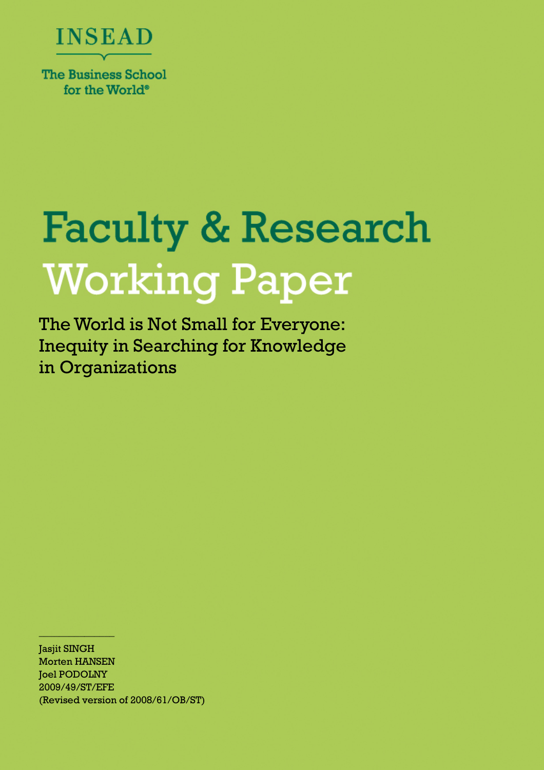

for the World<sup>®</sup>

# **Faculty & Research Working Paper**

The World is Not Small for Everyone: Inequity in Searching for Knowledge in Organizations

**Jasjit SINGH** Morten HANSEN **Joel PODOLNY** 2009/49/ST/EFE (Revised version of 2008/61/OB/ST)

 $\frac{4137.8799(11.74)}{2}$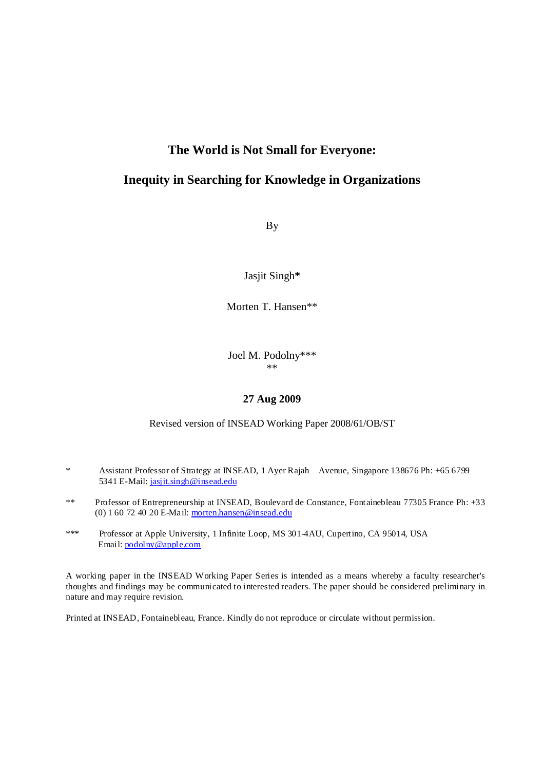## **The World is Not Small for Everyone:**

# **Inequity in Searching for Knowledge in Organizations**

By

Jasjit Singh**\***

Morten T. Hansen\*\*

Joel M. Podolny\*\*\*  $**$ 

#### **27 Aug 2009**

#### Revised version of INSEAD Working Paper 2008/61/OB/ST

- \* Assistant Professor of Strategy at INSEAD, 1 Ayer Rajah Avenue, Singapore 138676 Ph: +65 6799 5341 E-Mail: jasjit.singh@insead.edu
- \*\* Professor of Entrepreneurship at INSEAD, Boulevard de Constance, Fontainebleau 77305 France Ph: +33 (0)  $160724020E$ -Mail: morten.hansen@insead.edu
- \*\*\* Professor at Apple University, 1 Infinite Loop, MS 301-4AU, Cupertino, CA 95014, USA Email: podolny@apple.com

A working paper in the INSEAD Working Paper Series is intended as a means whereby a faculty researcher's thoughts and findings may be communicated to interested readers. The paper should be considered preliminary in nature and may require revision.

Printed at INSEAD, Fontainebleau, France. Kindly do not reproduce or circulate without permission.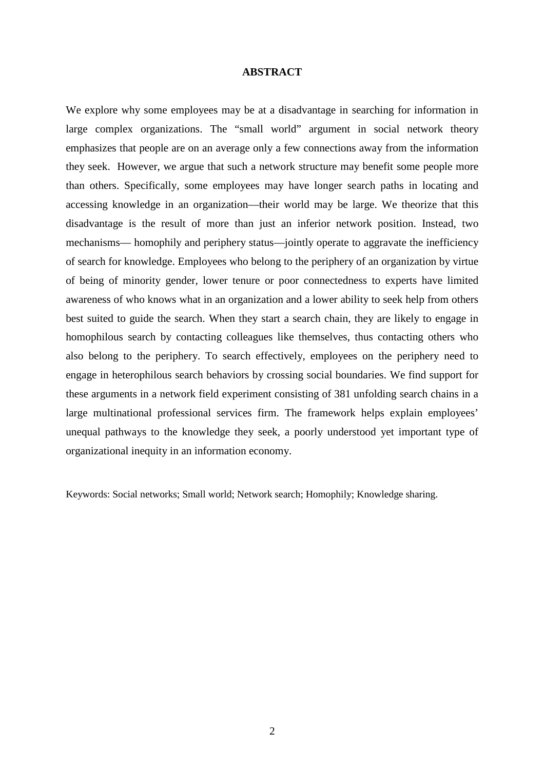#### **ABSTRACT**

We explore why some employees may be at a disadvantage in searching for information in large complex organizations. The "small world" argument in social network theory emphasizes that people are on an average only a few connections away from the information they seek. However, we argue that such a network structure may benefit some people more than others. Specifically, some employees may have longer search paths in locating and accessing knowledge in an organization—their world may be large. We theorize that this disadvantage is the result of more than just an inferior network position. Instead, two mechanisms— homophily and periphery status—jointly operate to aggravate the inefficiency of search for knowledge. Employees who belong to the periphery of an organization by virtue of being of minority gender, lower tenure or poor connectedness to experts have limited awareness of who knows what in an organization and a lower ability to seek help from others best suited to guide the search. When they start a search chain, they are likely to engage in homophilous search by contacting colleagues like themselves, thus contacting others who also belong to the periphery. To search effectively, employees on the periphery need to engage in heterophilous search behaviors by crossing social boundaries. We find support for these arguments in a network field experiment consisting of 381 unfolding search chains in a large multinational professional services firm. The framework helps explain employees' unequal pathways to the knowledge they seek, a poorly understood yet important type of organizational inequity in an information economy.

Keywords: Social networks; Small world; Network search; Homophily; Knowledge sharing.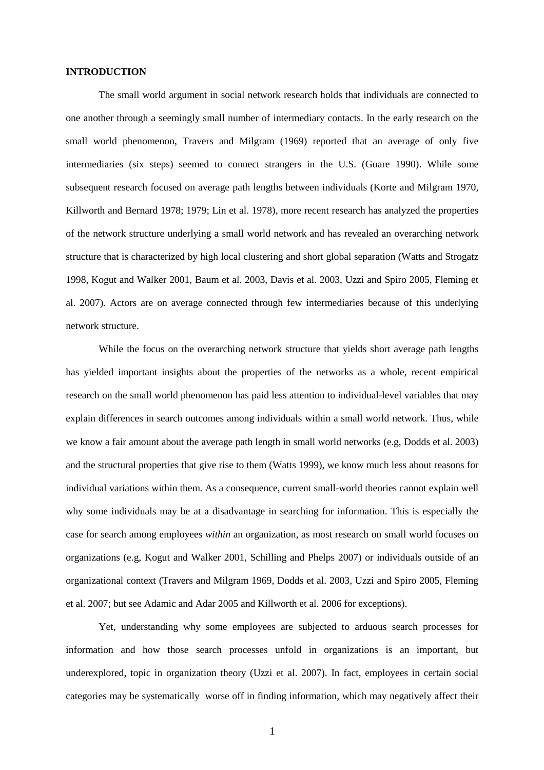#### **INTRODUCTION**

The small world argument in social network research holds that individuals are connected to one another through a seemingly small number of intermediary contacts. In the early research on the small world phenomenon, Travers and Milgram (1969) reported that an average of only five intermediaries (six steps) seemed to connect strangers in the U.S. (Guare 1990). While some subsequent research focused on average path lengths between individuals (Korte and Milgram 1970, Killworth and Bernard 1978; 1979; Lin et al. 1978), more recent research has analyzed the properties of the network structure underlying a small world network and has revealed an overarching network structure that is characterized by high local clustering and short global separation (Watts and Strogatz 1998, Kogut and Walker 2001, Baum et al. 2003, Davis et al. 2003, Uzzi and Spiro 2005, Fleming et al. 2007). Actors are on average connected through few intermediaries because of this underlying network structure.

While the focus on the overarching network structure that yields short average path lengths has yielded important insights about the properties of the networks as a whole, recent empirical research on the small world phenomenon has paid less attention to individual-level variables that may explain differences in search outcomes among individuals within a small world network. Thus, while we know a fair amount about the average path length in small world networks (e.g, Dodds et al. 2003) and the structural properties that give rise to them (Watts 1999), we know much less about reasons for individual variations within them. As a consequence, current small-world theories cannot explain well why some individuals may be at a disadvantage in searching for information. This is especially the case for search among employees *within* an organization, as most research on small world focuses on organizations (e.g, Kogut and Walker 2001, Schilling and Phelps 2007) or individuals outside of an organizational context (Travers and Milgram 1969, Dodds et al. 2003, Uzzi and Spiro 2005, Fleming et al. 2007; but see Adamic and Adar 2005 and Killworth et al. 2006 for exceptions).

Yet, understanding why some employees are subjected to arduous search processes for information and how those search processes unfold in organizations is an important, but underexplored, topic in organization theory (Uzzi et al. 2007). In fact, employees in certain social categories may be systematically worse off in finding information, which may negatively affect their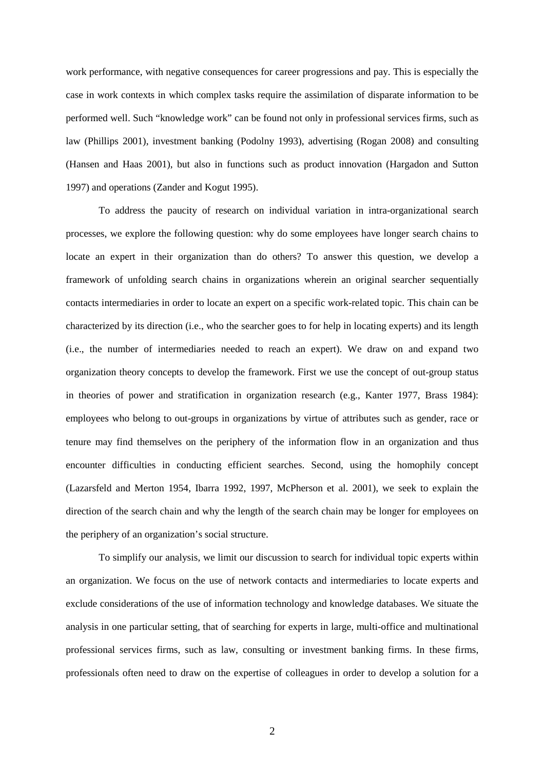work performance, with negative consequences for career progressions and pay. This is especially the case in work contexts in which complex tasks require the assimilation of disparate information to be performed well. Such "knowledge work" can be found not only in professional services firms, such as law (Phillips 2001), investment banking (Podolny 1993), advertising (Rogan 2008) and consulting (Hansen and Haas 2001), but also in functions such as product innovation (Hargadon and Sutton 1997) and operations (Zander and Kogut 1995).

To address the paucity of research on individual variation in intra-organizational search processes, we explore the following question: why do some employees have longer search chains to locate an expert in their organization than do others? To answer this question, we develop a framework of unfolding search chains in organizations wherein an original searcher sequentially contacts intermediaries in order to locate an expert on a specific work-related topic. This chain can be characterized by its direction (i.e., who the searcher goes to for help in locating experts) and its length (i.e., the number of intermediaries needed to reach an expert). We draw on and expand two organization theory concepts to develop the framework. First we use the concept of out-group status in theories of power and stratification in organization research (e.g., Kanter 1977, Brass 1984): employees who belong to out-groups in organizations by virtue of attributes such as gender, race or tenure may find themselves on the periphery of the information flow in an organization and thus encounter difficulties in conducting efficient searches. Second, using the homophily concept (Lazarsfeld and Merton 1954, Ibarra 1992, 1997, McPherson et al. 2001), we seek to explain the direction of the search chain and why the length of the search chain may be longer for employees on the periphery of an organization's social structure.

To simplify our analysis, we limit our discussion to search for individual topic experts within an organization. We focus on the use of network contacts and intermediaries to locate experts and exclude considerations of the use of information technology and knowledge databases. We situate the analysis in one particular setting, that of searching for experts in large, multi-office and multinational professional services firms, such as law, consulting or investment banking firms. In these firms, professionals often need to draw on the expertise of colleagues in order to develop a solution for a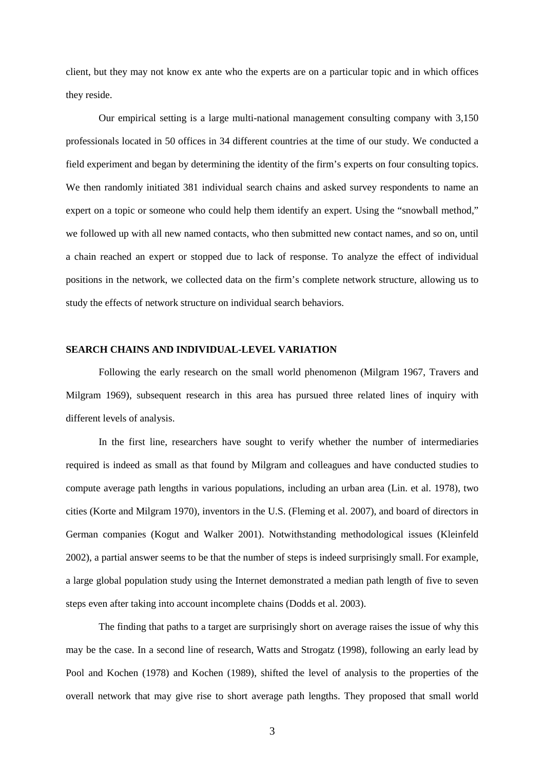client, but they may not know ex ante who the experts are on a particular topic and in which offices they reside.

Our empirical setting is a large multi-national management consulting company with 3,150 professionals located in 50 offices in 34 different countries at the time of our study. We conducted a field experiment and began by determining the identity of the firm's experts on four consulting topics. We then randomly initiated 381 individual search chains and asked survey respondents to name an expert on a topic or someone who could help them identify an expert. Using the "snowball method," we followed up with all new named contacts, who then submitted new contact names, and so on, until a chain reached an expert or stopped due to lack of response. To analyze the effect of individual positions in the network, we collected data on the firm's complete network structure, allowing us to study the effects of network structure on individual search behaviors.

#### **SEARCH CHAINS AND INDIVIDUAL-LEVEL VARIATION**

Following the early research on the small world phenomenon (Milgram 1967, Travers and Milgram 1969), subsequent research in this area has pursued three related lines of inquiry with different levels of analysis.

In the first line, researchers have sought to verify whether the number of intermediaries required is indeed as small as that found by Milgram and colleagues and have conducted studies to compute average path lengths in various populations, including an urban area (Lin. et al. 1978), two cities (Korte and Milgram 1970), inventors in the U.S. (Fleming et al. 2007), and board of directors in German companies (Kogut and Walker 2001). Notwithstanding methodological issues (Kleinfeld 2002), a partial answer seems to be that the number of steps is indeed surprisingly small. For example, a large global population study using the Internet demonstrated a median path length of five to seven steps even after taking into account incomplete chains (Dodds et al. 2003).

The finding that paths to a target are surprisingly short on average raises the issue of why this may be the case. In a second line of research, Watts and Strogatz (1998), following an early lead by Pool and Kochen (1978) and Kochen (1989), shifted the level of analysis to the properties of the overall network that may give rise to short average path lengths. They proposed that small world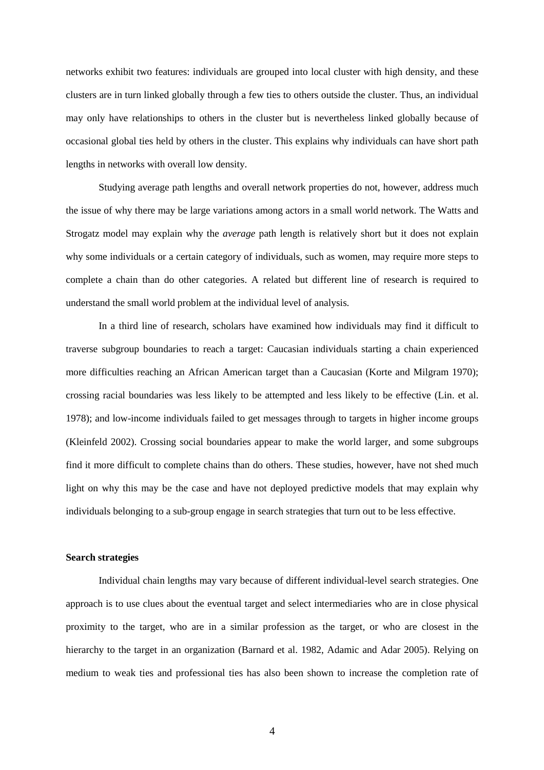networks exhibit two features: individuals are grouped into local cluster with high density, and these clusters are in turn linked globally through a few ties to others outside the cluster. Thus, an individual may only have relationships to others in the cluster but is nevertheless linked globally because of occasional global ties held by others in the cluster. This explains why individuals can have short path lengths in networks with overall low density.

Studying average path lengths and overall network properties do not, however, address much the issue of why there may be large variations among actors in a small world network. The Watts and Strogatz model may explain why the *average* path length is relatively short but it does not explain why some individuals or a certain category of individuals, such as women, may require more steps to complete a chain than do other categories. A related but different line of research is required to understand the small world problem at the individual level of analysis.

In a third line of research, scholars have examined how individuals may find it difficult to traverse subgroup boundaries to reach a target: Caucasian individuals starting a chain experienced more difficulties reaching an African American target than a Caucasian (Korte and Milgram 1970); crossing racial boundaries was less likely to be attempted and less likely to be effective (Lin. et al. 1978); and low-income individuals failed to get messages through to targets in higher income groups (Kleinfeld 2002). Crossing social boundaries appear to make the world larger, and some subgroups find it more difficult to complete chains than do others. These studies, however, have not shed much light on why this may be the case and have not deployed predictive models that may explain why individuals belonging to a sub-group engage in search strategies that turn out to be less effective.

#### **Search strategies**

Individual chain lengths may vary because of different individual-level search strategies. One approach is to use clues about the eventual target and select intermediaries who are in close physical proximity to the target, who are in a similar profession as the target, or who are closest in the hierarchy to the target in an organization (Barnard et al. 1982, Adamic and Adar 2005). Relying on medium to weak ties and professional ties has also been shown to increase the completion rate of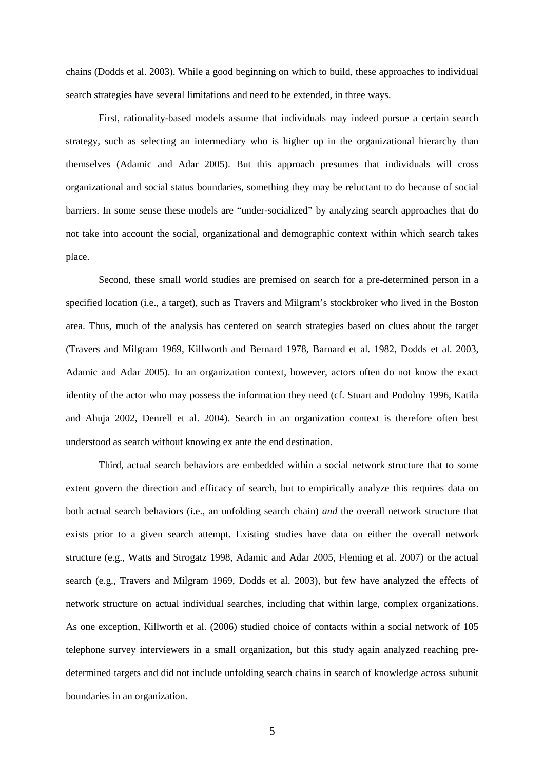chains (Dodds et al. 2003). While a good beginning on which to build, these approaches to individual search strategies have several limitations and need to be extended, in three ways.

First, rationality-based models assume that individuals may indeed pursue a certain search strategy, such as selecting an intermediary who is higher up in the organizational hierarchy than themselves (Adamic and Adar 2005). But this approach presumes that individuals will cross organizational and social status boundaries, something they may be reluctant to do because of social barriers. In some sense these models are "under-socialized" by analyzing search approaches that do not take into account the social, organizational and demographic context within which search takes place.

Second, these small world studies are premised on search for a pre-determined person in a specified location (i.e., a target), such as Travers and Milgram's stockbroker who lived in the Boston area. Thus, much of the analysis has centered on search strategies based on clues about the target (Travers and Milgram 1969, Killworth and Bernard 1978, Barnard et al. 1982, Dodds et al. 2003, Adamic and Adar 2005). In an organization context, however, actors often do not know the exact identity of the actor who may possess the information they need (cf. Stuart and Podolny 1996, Katila and Ahuja 2002, Denrell et al. 2004). Search in an organization context is therefore often best understood as search without knowing ex ante the end destination.

Third, actual search behaviors are embedded within a social network structure that to some extent govern the direction and efficacy of search, but to empirically analyze this requires data on both actual search behaviors (i.e., an unfolding search chain) *and* the overall network structure that exists prior to a given search attempt. Existing studies have data on either the overall network structure (e.g., Watts and Strogatz 1998, Adamic and Adar 2005, Fleming et al. 2007) or the actual search (e.g., Travers and Milgram 1969, Dodds et al. 2003), but few have analyzed the effects of network structure on actual individual searches, including that within large, complex organizations. As one exception, Killworth et al. (2006) studied choice of contacts within a social network of 105 telephone survey interviewers in a small organization, but this study again analyzed reaching predetermined targets and did not include unfolding search chains in search of knowledge across subunit boundaries in an organization.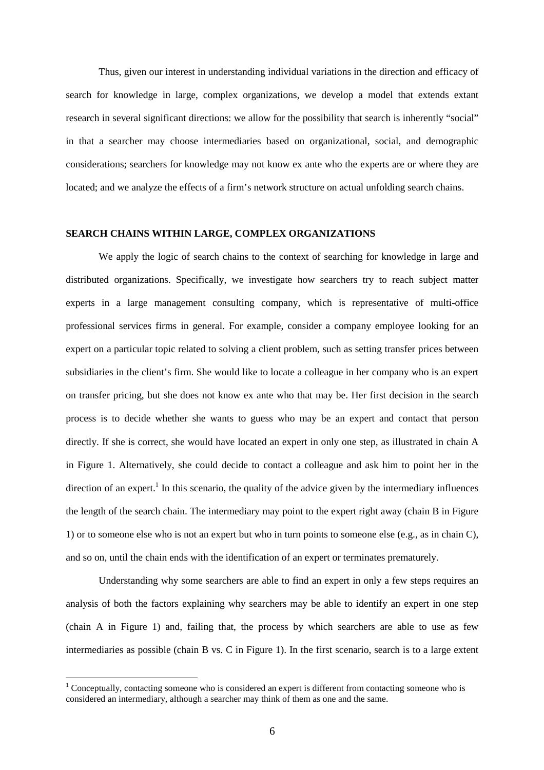Thus, given our interest in understanding individual variations in the direction and efficacy of search for knowledge in large, complex organizations, we develop a model that extends extant research in several significant directions: we allow for the possibility that search is inherently "social" in that a searcher may choose intermediaries based on organizational, social, and demographic considerations; searchers for knowledge may not know ex ante who the experts are or where they are located; and we analyze the effects of a firm's network structure on actual unfolding search chains.

#### **SEARCH CHAINS WITHIN LARGE, COMPLEX ORGANIZATIONS**

We apply the logic of search chains to the context of searching for knowledge in large and distributed organizations. Specifically, we investigate how searchers try to reach subject matter experts in a large management consulting company, which is representative of multi-office professional services firms in general. For example, consider a company employee looking for an expert on a particular topic related to solving a client problem, such as setting transfer prices between subsidiaries in the client's firm. She would like to locate a colleague in her company who is an expert on transfer pricing, but she does not know ex ante who that may be. Her first decision in the search process is to decide whether she wants to guess who may be an expert and contact that person directly. If she is correct, she would have located an expert in only one step, as illustrated in chain A in Figure 1. Alternatively, she could decide to contact a colleague and ask him to point her in the direction of an expert.<sup>1</sup> In this scenario, the quality of the advice given by the intermediary influences the length of the search chain. The intermediary may point to the expert right away (chain B in Figure 1) or to someone else who is not an expert but who in turn points to someone else (e.g., as in chain C), and so on, until the chain ends with the identification of an expert or terminates prematurely.

Understanding why some searchers are able to find an expert in only a few steps requires an analysis of both the factors explaining why searchers may be able to identify an expert in one step (chain A in Figure 1) and, failing that, the process by which searchers are able to use as few intermediaries as possible (chain B vs. C in Figure 1). In the first scenario, search is to a large extent

 $\overline{a}$ 

 $1$  Conceptually, contacting someone who is considered an expert is different from contacting someone who is considered an intermediary, although a searcher may think of them as one and the same.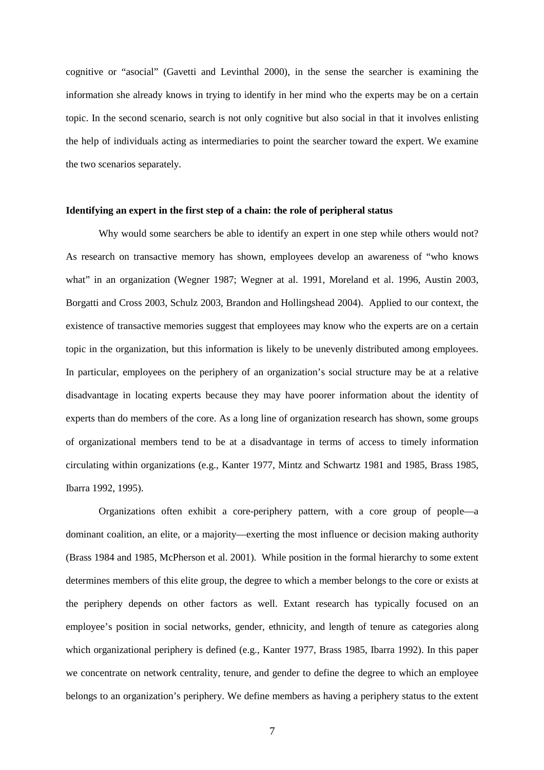cognitive or "asocial" (Gavetti and Levinthal 2000), in the sense the searcher is examining the information she already knows in trying to identify in her mind who the experts may be on a certain topic. In the second scenario, search is not only cognitive but also social in that it involves enlisting the help of individuals acting as intermediaries to point the searcher toward the expert. We examine the two scenarios separately.

#### **Identifying an expert in the first step of a chain: the role of peripheral status**

Why would some searchers be able to identify an expert in one step while others would not? As research on transactive memory has shown, employees develop an awareness of "who knows what" in an organization (Wegner 1987; Wegner at al. 1991, Moreland et al. 1996, Austin 2003, Borgatti and Cross 2003, Schulz 2003, Brandon and Hollingshead 2004). Applied to our context, the existence of transactive memories suggest that employees may know who the experts are on a certain topic in the organization, but this information is likely to be unevenly distributed among employees. In particular, employees on the periphery of an organization's social structure may be at a relative disadvantage in locating experts because they may have poorer information about the identity of experts than do members of the core. As a long line of organization research has shown, some groups of organizational members tend to be at a disadvantage in terms of access to timely information circulating within organizations (e.g., Kanter 1977, Mintz and Schwartz 1981 and 1985, Brass 1985, Ibarra 1992, 1995).

Organizations often exhibit a core-periphery pattern, with a core group of people—a dominant coalition, an elite, or a majority—exerting the most influence or decision making authority (Brass 1984 and 1985, McPherson et al. 2001). While position in the formal hierarchy to some extent determines members of this elite group, the degree to which a member belongs to the core or exists at the periphery depends on other factors as well. Extant research has typically focused on an employee's position in social networks, gender, ethnicity, and length of tenure as categories along which organizational periphery is defined (e.g., Kanter 1977, Brass 1985, Ibarra 1992). In this paper we concentrate on network centrality, tenure, and gender to define the degree to which an employee belongs to an organization's periphery. We define members as having a periphery status to the extent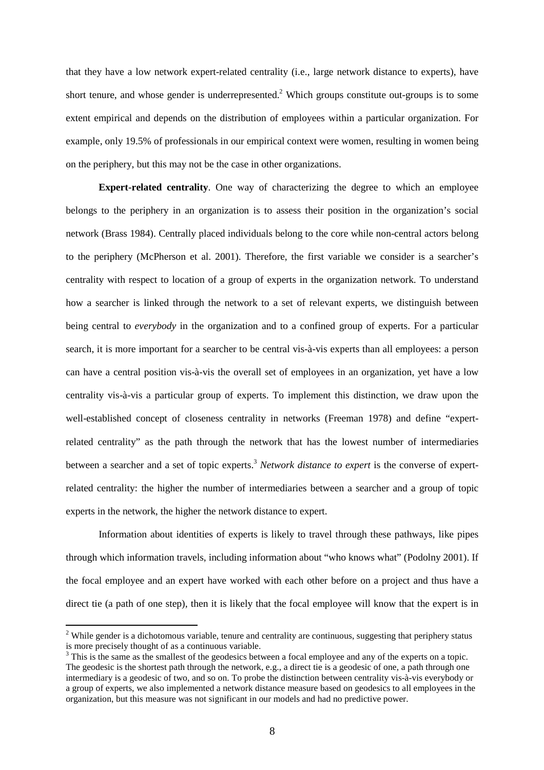that they have a low network expert-related centrality (i.e., large network distance to experts), have short tenure, and whose gender is underrepresented.<sup>2</sup> Which groups constitute out-groups is to some extent empirical and depends on the distribution of employees within a particular organization. For example, only 19.5% of professionals in our empirical context were women, resulting in women being on the periphery, but this may not be the case in other organizations.

**Expert-related centrality**. One way of characterizing the degree to which an employee belongs to the periphery in an organization is to assess their position in the organization's social network (Brass 1984). Centrally placed individuals belong to the core while non-central actors belong to the periphery (McPherson et al. 2001). Therefore, the first variable we consider is a searcher's centrality with respect to location of a group of experts in the organization network. To understand how a searcher is linked through the network to a set of relevant experts, we distinguish between being central to *everybody* in the organization and to a confined group of experts. For a particular search, it is more important for a searcher to be central vis-à-vis experts than all employees: a person can have a central position vis-à-vis the overall set of employees in an organization, yet have a low centrality vis-à-vis a particular group of experts. To implement this distinction, we draw upon the well-established concept of closeness centrality in networks (Freeman 1978) and define "expertrelated centrality" as the path through the network that has the lowest number of intermediaries between a searcher and a set of topic experts.<sup>3</sup> *Network distance to expert* is the converse of expertrelated centrality: the higher the number of intermediaries between a searcher and a group of topic experts in the network, the higher the network distance to expert.

Information about identities of experts is likely to travel through these pathways, like pipes through which information travels, including information about "who knows what" (Podolny 2001). If the focal employee and an expert have worked with each other before on a project and thus have a direct tie (a path of one step), then it is likely that the focal employee will know that the expert is in

 $\overline{a}$ 

 $2$  While gender is a dichotomous variable, tenure and centrality are continuous, suggesting that periphery status is more precisely thought of as a continuous variable.

 $3$  This is the same as the smallest of the geodesics between a focal employee and any of the experts on a topic. The geodesic is the shortest path through the network, e.g., a direct tie is a geodesic of one, a path through one intermediary is a geodesic of two, and so on. To probe the distinction between centrality vis-à-vis everybody or a group of experts, we also implemented a network distance measure based on geodesics to all employees in the organization, but this measure was not significant in our models and had no predictive power.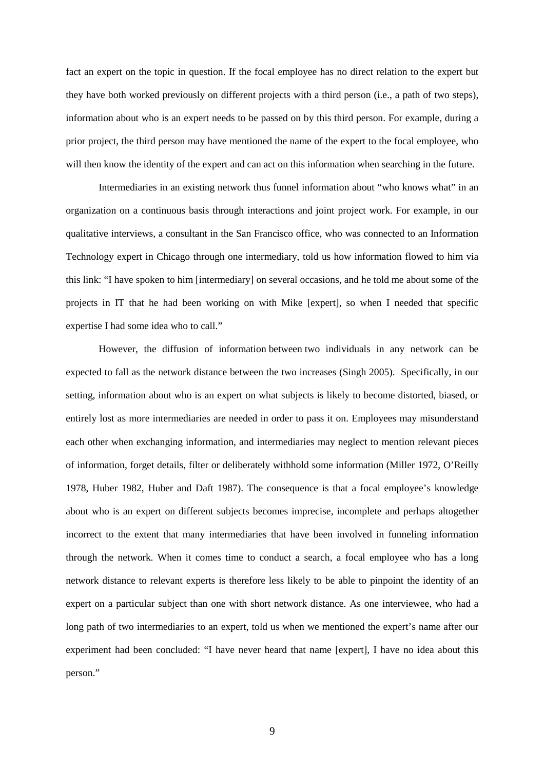fact an expert on the topic in question. If the focal employee has no direct relation to the expert but they have both worked previously on different projects with a third person (i.e., a path of two steps), information about who is an expert needs to be passed on by this third person. For example, during a prior project, the third person may have mentioned the name of the expert to the focal employee, who will then know the identity of the expert and can act on this information when searching in the future.

Intermediaries in an existing network thus funnel information about "who knows what" in an organization on a continuous basis through interactions and joint project work. For example, in our qualitative interviews, a consultant in the San Francisco office, who was connected to an Information Technology expert in Chicago through one intermediary, told us how information flowed to him via this link: "I have spoken to him [intermediary] on several occasions, and he told me about some of the projects in IT that he had been working on with Mike [expert], so when I needed that specific expertise I had some idea who to call."

However, the diffusion of information between two individuals in any network can be expected to fall as the network distance between the two increases (Singh 2005). Specifically, in our setting, information about who is an expert on what subjects is likely to become distorted, biased, or entirely lost as more intermediaries are needed in order to pass it on. Employees may misunderstand each other when exchanging information, and intermediaries may neglect to mention relevant pieces of information, forget details, filter or deliberately withhold some information (Miller 1972, O'Reilly 1978, Huber 1982, Huber and Daft 1987). The consequence is that a focal employee's knowledge about who is an expert on different subjects becomes imprecise, incomplete and perhaps altogether incorrect to the extent that many intermediaries that have been involved in funneling information through the network. When it comes time to conduct a search, a focal employee who has a long network distance to relevant experts is therefore less likely to be able to pinpoint the identity of an expert on a particular subject than one with short network distance. As one interviewee, who had a long path of two intermediaries to an expert, told us when we mentioned the expert's name after our experiment had been concluded: "I have never heard that name [expert], I have no idea about this person."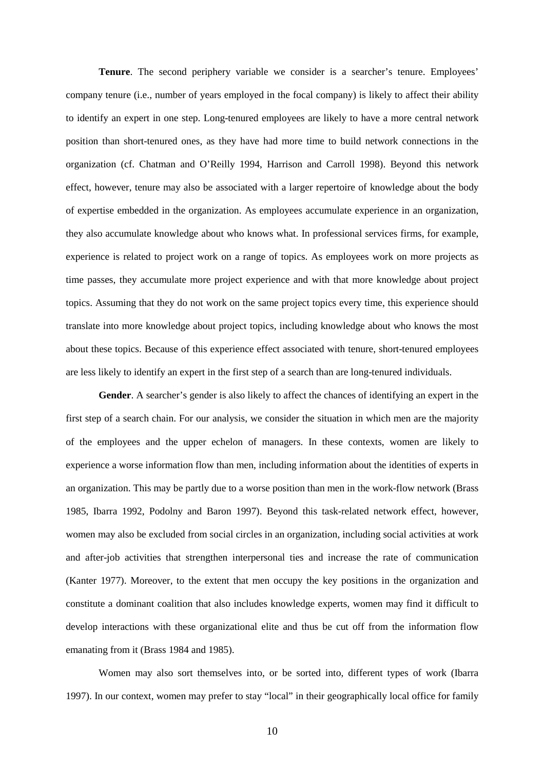**Tenure**. The second periphery variable we consider is a searcher's tenure. Employees' company tenure (i.e., number of years employed in the focal company) is likely to affect their ability to identify an expert in one step. Long-tenured employees are likely to have a more central network position than short-tenured ones, as they have had more time to build network connections in the organization (cf. Chatman and O'Reilly 1994, Harrison and Carroll 1998). Beyond this network effect, however, tenure may also be associated with a larger repertoire of knowledge about the body of expertise embedded in the organization. As employees accumulate experience in an organization, they also accumulate knowledge about who knows what. In professional services firms, for example, experience is related to project work on a range of topics. As employees work on more projects as time passes, they accumulate more project experience and with that more knowledge about project topics. Assuming that they do not work on the same project topics every time, this experience should translate into more knowledge about project topics, including knowledge about who knows the most about these topics. Because of this experience effect associated with tenure, short-tenured employees are less likely to identify an expert in the first step of a search than are long-tenured individuals.

**Gender**. A searcher's gender is also likely to affect the chances of identifying an expert in the first step of a search chain. For our analysis, we consider the situation in which men are the majority of the employees and the upper echelon of managers. In these contexts, women are likely to experience a worse information flow than men, including information about the identities of experts in an organization. This may be partly due to a worse position than men in the work-flow network (Brass 1985, Ibarra 1992, Podolny and Baron 1997). Beyond this task-related network effect, however, women may also be excluded from social circles in an organization, including social activities at work and after-job activities that strengthen interpersonal ties and increase the rate of communication (Kanter 1977). Moreover, to the extent that men occupy the key positions in the organization and constitute a dominant coalition that also includes knowledge experts, women may find it difficult to develop interactions with these organizational elite and thus be cut off from the information flow emanating from it (Brass 1984 and 1985).

Women may also sort themselves into, or be sorted into, different types of work (Ibarra 1997). In our context, women may prefer to stay "local" in their geographically local office for family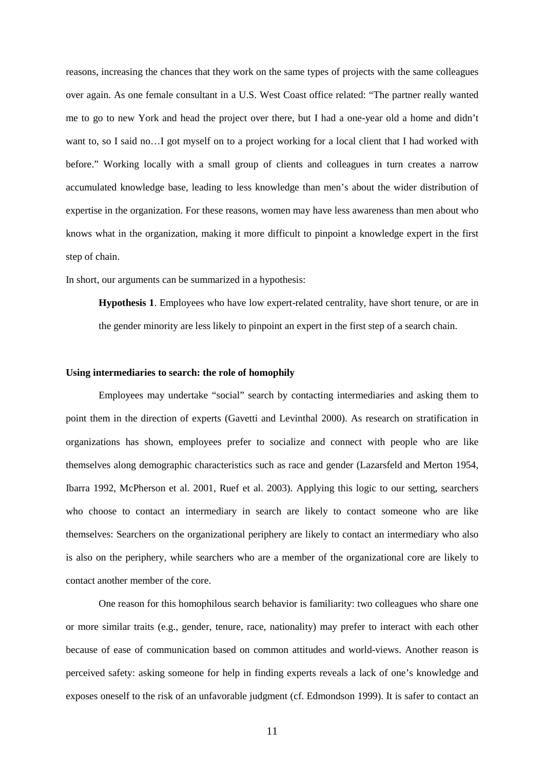reasons, increasing the chances that they work on the same types of projects with the same colleagues over again. As one female consultant in a U.S. West Coast office related: "The partner really wanted me to go to new York and head the project over there, but I had a one-year old a home and didn't want to, so I said no…I got myself on to a project working for a local client that I had worked with before." Working locally with a small group of clients and colleagues in turn creates a narrow accumulated knowledge base, leading to less knowledge than men's about the wider distribution of expertise in the organization. For these reasons, women may have less awareness than men about who knows what in the organization, making it more difficult to pinpoint a knowledge expert in the first step of chain.

In short, our arguments can be summarized in a hypothesis:

**Hypothesis 1**. Employees who have low expert-related centrality, have short tenure, or are in the gender minority are less likely to pinpoint an expert in the first step of a search chain.

#### **Using intermediaries to search: the role of homophily**

Employees may undertake "social" search by contacting intermediaries and asking them to point them in the direction of experts (Gavetti and Levinthal 2000). As research on stratification in organizations has shown, employees prefer to socialize and connect with people who are like themselves along demographic characteristics such as race and gender (Lazarsfeld and Merton 1954, Ibarra 1992, McPherson et al. 2001, Ruef et al. 2003). Applying this logic to our setting, searchers who choose to contact an intermediary in search are likely to contact someone who are like themselves: Searchers on the organizational periphery are likely to contact an intermediary who also is also on the periphery, while searchers who are a member of the organizational core are likely to contact another member of the core.

One reason for this homophilous search behavior is familiarity: two colleagues who share one or more similar traits (e.g., gender, tenure, race, nationality) may prefer to interact with each other because of ease of communication based on common attitudes and world-views. Another reason is perceived safety: asking someone for help in finding experts reveals a lack of one's knowledge and exposes oneself to the risk of an unfavorable judgment (cf. Edmondson 1999). It is safer to contact an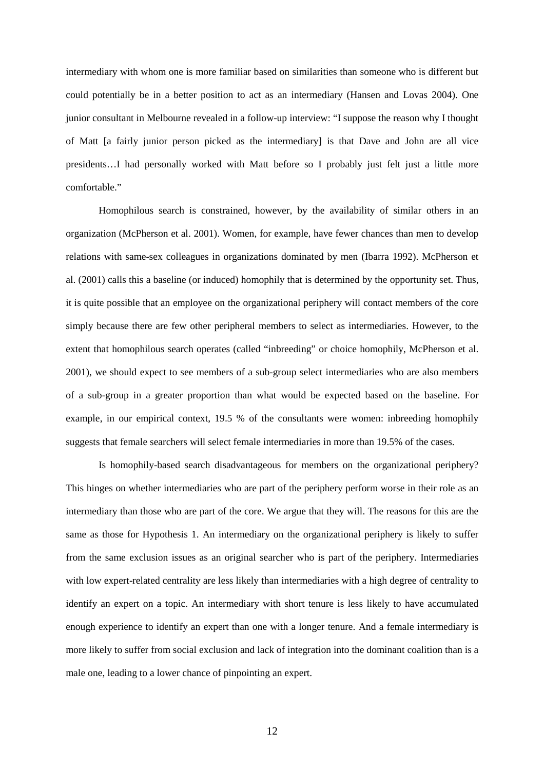intermediary with whom one is more familiar based on similarities than someone who is different but could potentially be in a better position to act as an intermediary (Hansen and Lovas 2004). One junior consultant in Melbourne revealed in a follow-up interview: "I suppose the reason why I thought of Matt [a fairly junior person picked as the intermediary] is that Dave and John are all vice presidents…I had personally worked with Matt before so I probably just felt just a little more comfortable."

 Homophilous search is constrained, however, by the availability of similar others in an organization (McPherson et al. 2001). Women, for example, have fewer chances than men to develop relations with same-sex colleagues in organizations dominated by men (Ibarra 1992). McPherson et al. (2001) calls this a baseline (or induced) homophily that is determined by the opportunity set. Thus, it is quite possible that an employee on the organizational periphery will contact members of the core simply because there are few other peripheral members to select as intermediaries. However, to the extent that homophilous search operates (called "inbreeding" or choice homophily, McPherson et al. 2001), we should expect to see members of a sub-group select intermediaries who are also members of a sub-group in a greater proportion than what would be expected based on the baseline. For example, in our empirical context, 19.5 % of the consultants were women: inbreeding homophily suggests that female searchers will select female intermediaries in more than 19.5% of the cases.

Is homophily-based search disadvantageous for members on the organizational periphery? This hinges on whether intermediaries who are part of the periphery perform worse in their role as an intermediary than those who are part of the core. We argue that they will. The reasons for this are the same as those for Hypothesis 1. An intermediary on the organizational periphery is likely to suffer from the same exclusion issues as an original searcher who is part of the periphery. Intermediaries with low expert-related centrality are less likely than intermediaries with a high degree of centrality to identify an expert on a topic. An intermediary with short tenure is less likely to have accumulated enough experience to identify an expert than one with a longer tenure. And a female intermediary is more likely to suffer from social exclusion and lack of integration into the dominant coalition than is a male one, leading to a lower chance of pinpointing an expert.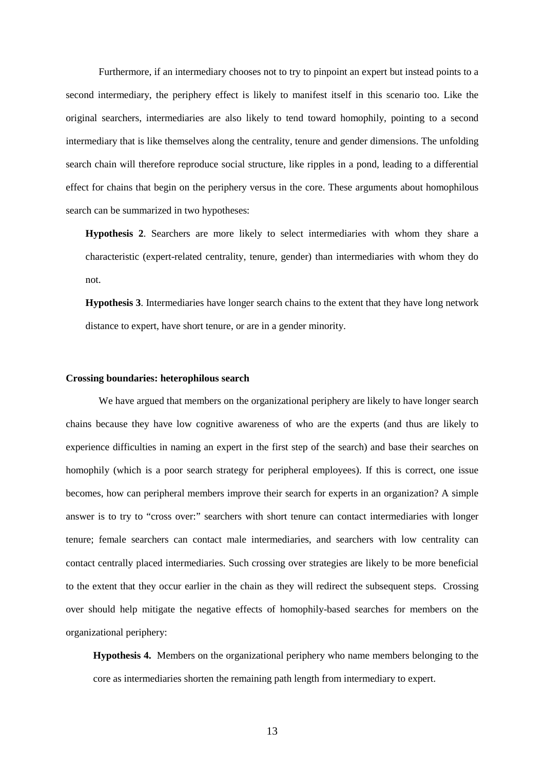Furthermore, if an intermediary chooses not to try to pinpoint an expert but instead points to a second intermediary, the periphery effect is likely to manifest itself in this scenario too. Like the original searchers, intermediaries are also likely to tend toward homophily, pointing to a second intermediary that is like themselves along the centrality, tenure and gender dimensions. The unfolding search chain will therefore reproduce social structure, like ripples in a pond, leading to a differential effect for chains that begin on the periphery versus in the core. These arguments about homophilous search can be summarized in two hypotheses:

**Hypothesis 2**. Searchers are more likely to select intermediaries with whom they share a characteristic (expert-related centrality, tenure, gender) than intermediaries with whom they do not.

**Hypothesis 3**. Intermediaries have longer search chains to the extent that they have long network distance to expert, have short tenure, or are in a gender minority.

#### **Crossing boundaries: heterophilous search**

We have argued that members on the organizational periphery are likely to have longer search chains because they have low cognitive awareness of who are the experts (and thus are likely to experience difficulties in naming an expert in the first step of the search) and base their searches on homophily (which is a poor search strategy for peripheral employees). If this is correct, one issue becomes, how can peripheral members improve their search for experts in an organization? A simple answer is to try to "cross over:" searchers with short tenure can contact intermediaries with longer tenure; female searchers can contact male intermediaries, and searchers with low centrality can contact centrally placed intermediaries. Such crossing over strategies are likely to be more beneficial to the extent that they occur earlier in the chain as they will redirect the subsequent steps. Crossing over should help mitigate the negative effects of homophily-based searches for members on the organizational periphery:

**Hypothesis 4.** Members on the organizational periphery who name members belonging to the core as intermediaries shorten the remaining path length from intermediary to expert.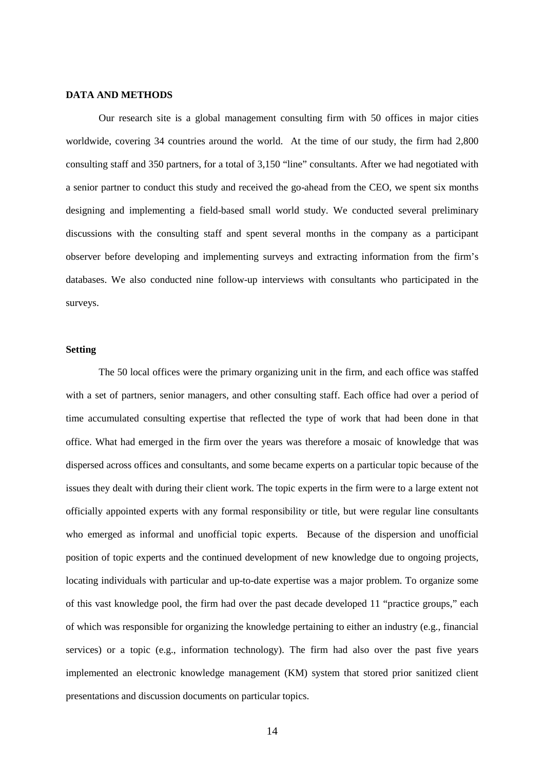#### **DATA AND METHODS**

 Our research site is a global management consulting firm with 50 offices in major cities worldwide, covering 34 countries around the world. At the time of our study, the firm had 2,800 consulting staff and 350 partners, for a total of 3,150 "line" consultants. After we had negotiated with a senior partner to conduct this study and received the go-ahead from the CEO, we spent six months designing and implementing a field-based small world study. We conducted several preliminary discussions with the consulting staff and spent several months in the company as a participant observer before developing and implementing surveys and extracting information from the firm's databases. We also conducted nine follow-up interviews with consultants who participated in the surveys.

#### **Setting**

 The 50 local offices were the primary organizing unit in the firm, and each office was staffed with a set of partners, senior managers, and other consulting staff. Each office had over a period of time accumulated consulting expertise that reflected the type of work that had been done in that office. What had emerged in the firm over the years was therefore a mosaic of knowledge that was dispersed across offices and consultants, and some became experts on a particular topic because of the issues they dealt with during their client work. The topic experts in the firm were to a large extent not officially appointed experts with any formal responsibility or title, but were regular line consultants who emerged as informal and unofficial topic experts. Because of the dispersion and unofficial position of topic experts and the continued development of new knowledge due to ongoing projects, locating individuals with particular and up-to-date expertise was a major problem. To organize some of this vast knowledge pool, the firm had over the past decade developed 11 "practice groups," each of which was responsible for organizing the knowledge pertaining to either an industry (e.g., financial services) or a topic (e.g., information technology). The firm had also over the past five years implemented an electronic knowledge management (KM) system that stored prior sanitized client presentations and discussion documents on particular topics.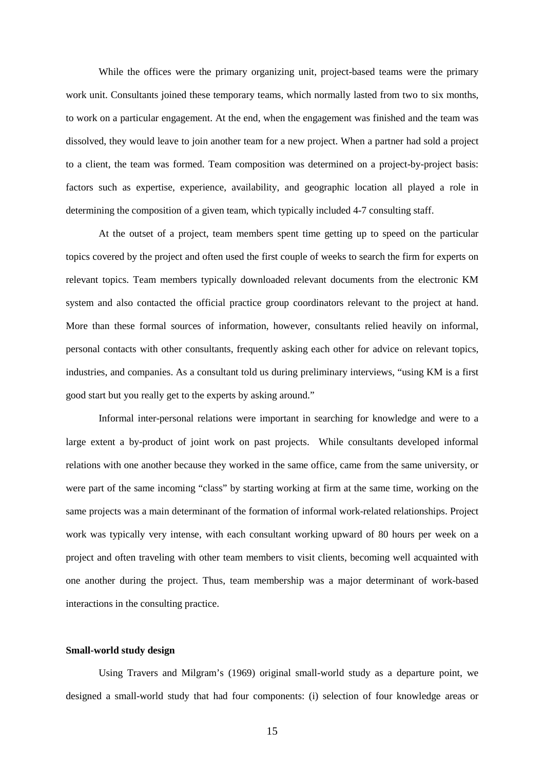While the offices were the primary organizing unit, project-based teams were the primary work unit. Consultants joined these temporary teams, which normally lasted from two to six months, to work on a particular engagement. At the end, when the engagement was finished and the team was dissolved, they would leave to join another team for a new project. When a partner had sold a project to a client, the team was formed. Team composition was determined on a project-by-project basis: factors such as expertise, experience, availability, and geographic location all played a role in determining the composition of a given team, which typically included 4-7 consulting staff.

At the outset of a project, team members spent time getting up to speed on the particular topics covered by the project and often used the first couple of weeks to search the firm for experts on relevant topics. Team members typically downloaded relevant documents from the electronic KM system and also contacted the official practice group coordinators relevant to the project at hand. More than these formal sources of information, however, consultants relied heavily on informal, personal contacts with other consultants, frequently asking each other for advice on relevant topics, industries, and companies. As a consultant told us during preliminary interviews, "using KM is a first good start but you really get to the experts by asking around."

Informal inter-personal relations were important in searching for knowledge and were to a large extent a by-product of joint work on past projects. While consultants developed informal relations with one another because they worked in the same office, came from the same university, or were part of the same incoming "class" by starting working at firm at the same time, working on the same projects was a main determinant of the formation of informal work-related relationships. Project work was typically very intense, with each consultant working upward of 80 hours per week on a project and often traveling with other team members to visit clients, becoming well acquainted with one another during the project. Thus, team membership was a major determinant of work-based interactions in the consulting practice.

#### **Small-world study design**

 Using Travers and Milgram's (1969) original small-world study as a departure point, we designed a small-world study that had four components: (i) selection of four knowledge areas or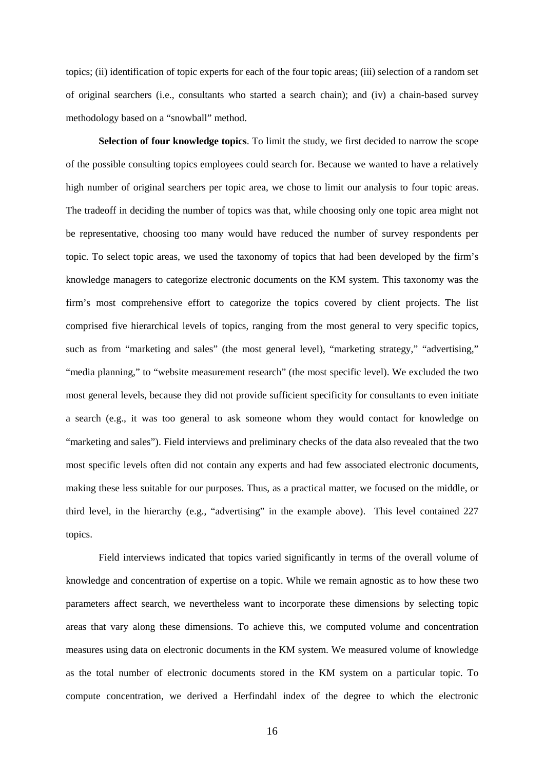topics; (ii) identification of topic experts for each of the four topic areas; (iii) selection of a random set of original searchers (i.e., consultants who started a search chain); and (iv) a chain-based survey methodology based on a "snowball" method.

**Selection of four knowledge topics**. To limit the study, we first decided to narrow the scope of the possible consulting topics employees could search for. Because we wanted to have a relatively high number of original searchers per topic area, we chose to limit our analysis to four topic areas. The tradeoff in deciding the number of topics was that, while choosing only one topic area might not be representative, choosing too many would have reduced the number of survey respondents per topic. To select topic areas, we used the taxonomy of topics that had been developed by the firm's knowledge managers to categorize electronic documents on the KM system. This taxonomy was the firm's most comprehensive effort to categorize the topics covered by client projects. The list comprised five hierarchical levels of topics, ranging from the most general to very specific topics, such as from "marketing and sales" (the most general level), "marketing strategy," "advertising," "media planning," to "website measurement research" (the most specific level). We excluded the two most general levels, because they did not provide sufficient specificity for consultants to even initiate a search (e.g., it was too general to ask someone whom they would contact for knowledge on "marketing and sales"). Field interviews and preliminary checks of the data also revealed that the two most specific levels often did not contain any experts and had few associated electronic documents, making these less suitable for our purposes. Thus, as a practical matter, we focused on the middle, or third level, in the hierarchy (e.g., "advertising" in the example above). This level contained 227 topics.

 Field interviews indicated that topics varied significantly in terms of the overall volume of knowledge and concentration of expertise on a topic. While we remain agnostic as to how these two parameters affect search, we nevertheless want to incorporate these dimensions by selecting topic areas that vary along these dimensions. To achieve this, we computed volume and concentration measures using data on electronic documents in the KM system. We measured volume of knowledge as the total number of electronic documents stored in the KM system on a particular topic. To compute concentration, we derived a Herfindahl index of the degree to which the electronic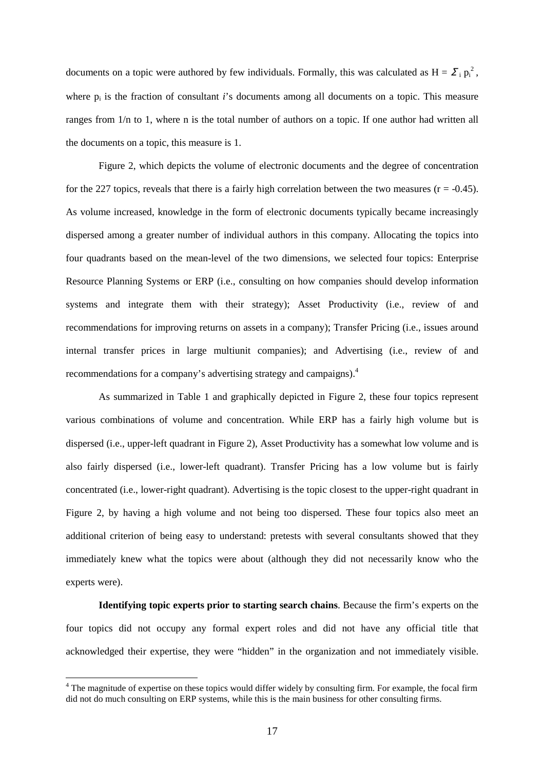documents on a topic were authored by few individuals. Formally, this was calculated as  $H = \sum_i p_i^2$ , where  $p_i$  is the fraction of consultant  $i$ 's documents among all documents on a topic. This measure ranges from 1/n to 1, where n is the total number of authors on a topic. If one author had written all the documents on a topic, this measure is 1.

Figure 2, which depicts the volume of electronic documents and the degree of concentration for the 227 topics, reveals that there is a fairly high correlation between the two measures ( $r = -0.45$ ). As volume increased, knowledge in the form of electronic documents typically became increasingly dispersed among a greater number of individual authors in this company. Allocating the topics into four quadrants based on the mean-level of the two dimensions, we selected four topics: Enterprise Resource Planning Systems or ERP (i.e., consulting on how companies should develop information systems and integrate them with their strategy); Asset Productivity (i.e., review of and recommendations for improving returns on assets in a company); Transfer Pricing (i.e., issues around internal transfer prices in large multiunit companies); and Advertising (i.e., review of and recommendations for a company's advertising strategy and campaigns).<sup>4</sup>

As summarized in Table 1 and graphically depicted in Figure 2, these four topics represent various combinations of volume and concentration. While ERP has a fairly high volume but is dispersed (i.e., upper-left quadrant in Figure 2), Asset Productivity has a somewhat low volume and is also fairly dispersed (i.e., lower-left quadrant). Transfer Pricing has a low volume but is fairly concentrated (i.e., lower-right quadrant). Advertising is the topic closest to the upper-right quadrant in Figure 2, by having a high volume and not being too dispersed. These four topics also meet an additional criterion of being easy to understand: pretests with several consultants showed that they immediately knew what the topics were about (although they did not necessarily know who the experts were).

**Identifying topic experts prior to starting search chains**. Because the firm's experts on the four topics did not occupy any formal expert roles and did not have any official title that acknowledged their expertise, they were "hidden" in the organization and not immediately visible.

<sup>&</sup>lt;sup>4</sup> The magnitude of expertise on these topics would differ widely by consulting firm. For example, the focal firm did not do much consulting on ERP systems, while this is the main business for other consulting firms.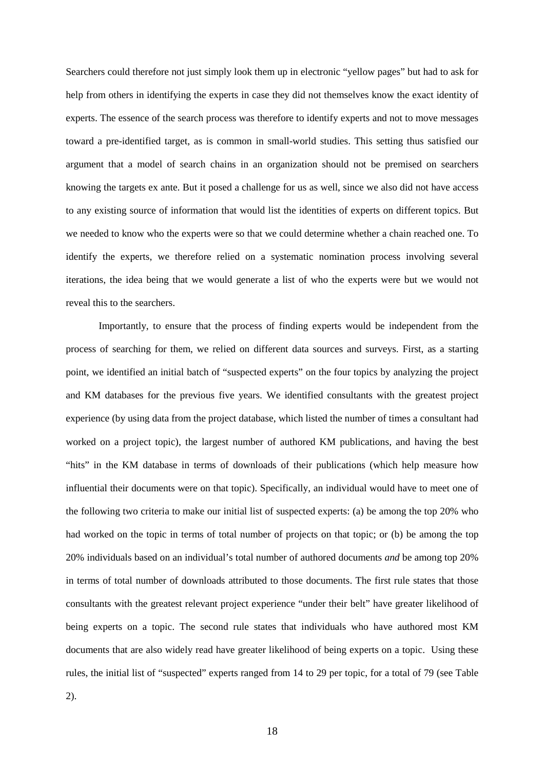Searchers could therefore not just simply look them up in electronic "yellow pages" but had to ask for help from others in identifying the experts in case they did not themselves know the exact identity of experts. The essence of the search process was therefore to identify experts and not to move messages toward a pre-identified target, as is common in small-world studies. This setting thus satisfied our argument that a model of search chains in an organization should not be premised on searchers knowing the targets ex ante. But it posed a challenge for us as well, since we also did not have access to any existing source of information that would list the identities of experts on different topics. But we needed to know who the experts were so that we could determine whether a chain reached one. To identify the experts, we therefore relied on a systematic nomination process involving several iterations, the idea being that we would generate a list of who the experts were but we would not reveal this to the searchers.

Importantly, to ensure that the process of finding experts would be independent from the process of searching for them, we relied on different data sources and surveys. First, as a starting point, we identified an initial batch of "suspected experts" on the four topics by analyzing the project and KM databases for the previous five years. We identified consultants with the greatest project experience (by using data from the project database, which listed the number of times a consultant had worked on a project topic), the largest number of authored KM publications, and having the best "hits" in the KM database in terms of downloads of their publications (which help measure how influential their documents were on that topic). Specifically, an individual would have to meet one of the following two criteria to make our initial list of suspected experts: (a) be among the top 20% who had worked on the topic in terms of total number of projects on that topic; or (b) be among the top 20% individuals based on an individual's total number of authored documents *and* be among top 20% in terms of total number of downloads attributed to those documents. The first rule states that those consultants with the greatest relevant project experience "under their belt" have greater likelihood of being experts on a topic. The second rule states that individuals who have authored most KM documents that are also widely read have greater likelihood of being experts on a topic. Using these rules, the initial list of "suspected" experts ranged from 14 to 29 per topic, for a total of 79 (see Table

2).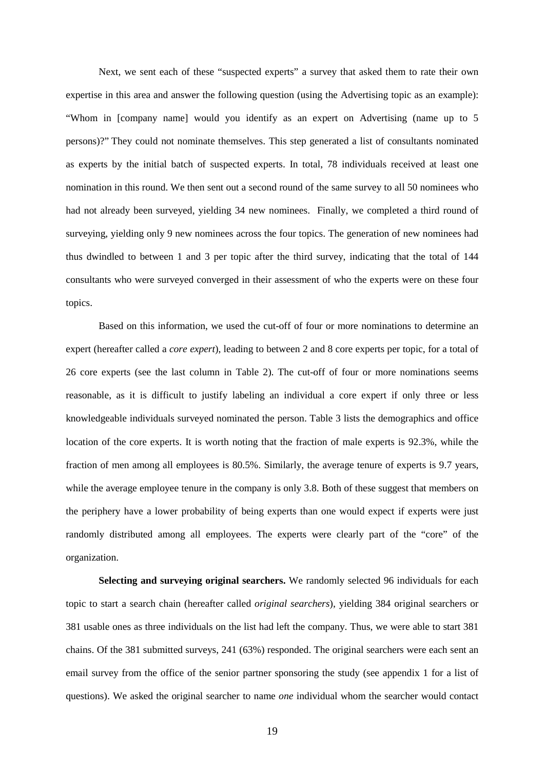Next, we sent each of these "suspected experts" a survey that asked them to rate their own expertise in this area and answer the following question (using the Advertising topic as an example): "Whom in [company name] would you identify as an expert on Advertising (name up to 5 persons)?" They could not nominate themselves. This step generated a list of consultants nominated as experts by the initial batch of suspected experts. In total, 78 individuals received at least one nomination in this round. We then sent out a second round of the same survey to all 50 nominees who had not already been surveyed, yielding 34 new nominees. Finally, we completed a third round of surveying, yielding only 9 new nominees across the four topics. The generation of new nominees had thus dwindled to between 1 and 3 per topic after the third survey, indicating that the total of 144 consultants who were surveyed converged in their assessment of who the experts were on these four topics.

Based on this information, we used the cut-off of four or more nominations to determine an expert (hereafter called a *core expert*), leading to between 2 and 8 core experts per topic, for a total of 26 core experts (see the last column in Table 2). The cut-off of four or more nominations seems reasonable, as it is difficult to justify labeling an individual a core expert if only three or less knowledgeable individuals surveyed nominated the person. Table 3 lists the demographics and office location of the core experts. It is worth noting that the fraction of male experts is 92.3%, while the fraction of men among all employees is 80.5%. Similarly, the average tenure of experts is 9.7 years, while the average employee tenure in the company is only 3.8. Both of these suggest that members on the periphery have a lower probability of being experts than one would expect if experts were just randomly distributed among all employees. The experts were clearly part of the "core" of the organization.

**Selecting and surveying original searchers.** We randomly selected 96 individuals for each topic to start a search chain (hereafter called *original searchers*), yielding 384 original searchers or 381 usable ones as three individuals on the list had left the company. Thus, we were able to start 381 chains. Of the 381 submitted surveys, 241 (63%) responded. The original searchers were each sent an email survey from the office of the senior partner sponsoring the study (see appendix 1 for a list of questions). We asked the original searcher to name *one* individual whom the searcher would contact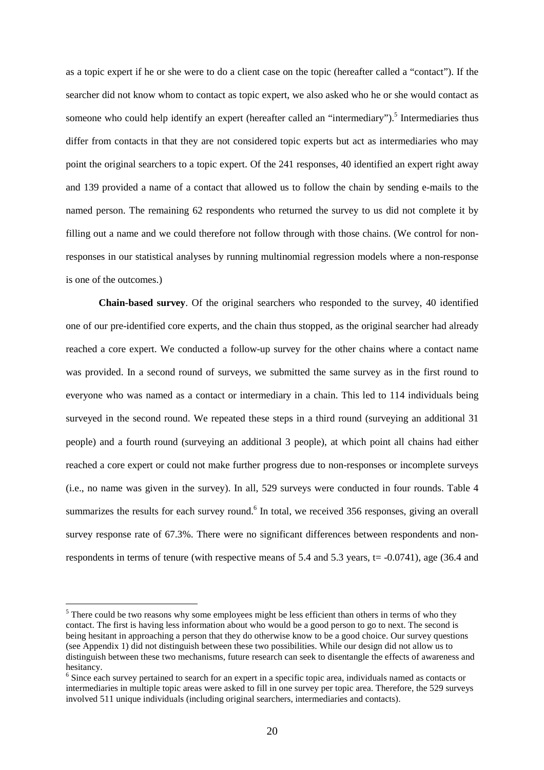as a topic expert if he or she were to do a client case on the topic (hereafter called a "contact"). If the searcher did not know whom to contact as topic expert, we also asked who he or she would contact as someone who could help identify an expert (hereafter called an "intermediary").<sup>5</sup> Intermediaries thus differ from contacts in that they are not considered topic experts but act as intermediaries who may point the original searchers to a topic expert. Of the 241 responses, 40 identified an expert right away and 139 provided a name of a contact that allowed us to follow the chain by sending e-mails to the named person. The remaining 62 respondents who returned the survey to us did not complete it by filling out a name and we could therefore not follow through with those chains. (We control for nonresponses in our statistical analyses by running multinomial regression models where a non-response is one of the outcomes.)

**Chain-based survey**. Of the original searchers who responded to the survey, 40 identified one of our pre-identified core experts, and the chain thus stopped, as the original searcher had already reached a core expert. We conducted a follow-up survey for the other chains where a contact name was provided. In a second round of surveys, we submitted the same survey as in the first round to everyone who was named as a contact or intermediary in a chain. This led to 114 individuals being surveyed in the second round. We repeated these steps in a third round (surveying an additional 31 people) and a fourth round (surveying an additional 3 people), at which point all chains had either reached a core expert or could not make further progress due to non-responses or incomplete surveys (i.e., no name was given in the survey). In all, 529 surveys were conducted in four rounds. Table 4 summarizes the results for each survey round.<sup>6</sup> In total, we received 356 responses, giving an overall survey response rate of 67.3%. There were no significant differences between respondents and nonrespondents in terms of tenure (with respective means of 5.4 and 5.3 years,  $t = -0.0741$ ), age (36.4 and

 $\overline{a}$ 

 $<sup>5</sup>$  There could be two reasons why some employees might be less efficient than others in terms of who they</sup> contact. The first is having less information about who would be a good person to go to next. The second is being hesitant in approaching a person that they do otherwise know to be a good choice. Our survey questions (see Appendix 1) did not distinguish between these two possibilities. While our design did not allow us to distinguish between these two mechanisms, future research can seek to disentangle the effects of awareness and hesitancy.

<sup>&</sup>lt;sup>6</sup> Since each survey pertained to search for an expert in a specific topic area, individuals named as contacts or intermediaries in multiple topic areas were asked to fill in one survey per topic area. Therefore, the 529 surveys involved 511 unique individuals (including original searchers, intermediaries and contacts).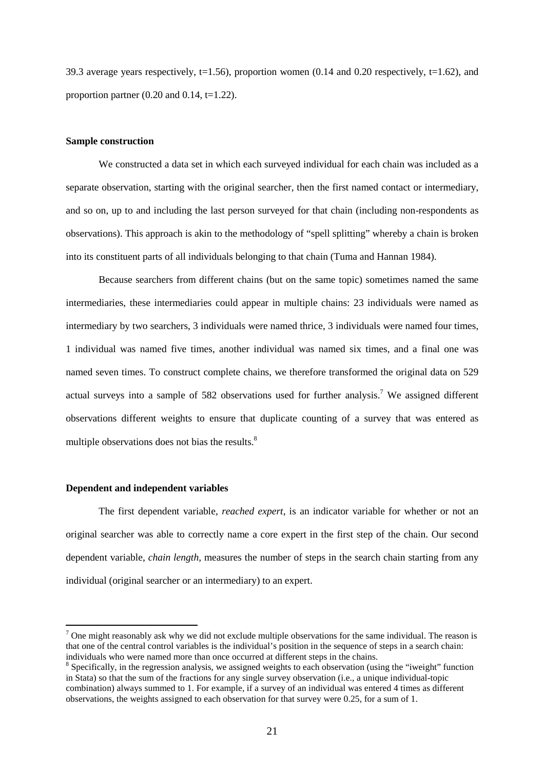39.3 average years respectively,  $t=1.56$ ), proportion women (0.14 and 0.20 respectively,  $t=1.62$ ), and proportion partner  $(0.20 \text{ and } 0.14, t=1.22)$ .

#### **Sample construction**

We constructed a data set in which each surveyed individual for each chain was included as a separate observation, starting with the original searcher, then the first named contact or intermediary, and so on, up to and including the last person surveyed for that chain (including non-respondents as observations). This approach is akin to the methodology of "spell splitting" whereby a chain is broken into its constituent parts of all individuals belonging to that chain (Tuma and Hannan 1984).

Because searchers from different chains (but on the same topic) sometimes named the same intermediaries, these intermediaries could appear in multiple chains: 23 individuals were named as intermediary by two searchers, 3 individuals were named thrice, 3 individuals were named four times, 1 individual was named five times, another individual was named six times, and a final one was named seven times. To construct complete chains, we therefore transformed the original data on 529 actual surveys into a sample of 582 observations used for further analysis.<sup>7</sup> We assigned different observations different weights to ensure that duplicate counting of a survey that was entered as multiple observations does not bias the results.<sup>8</sup>

#### **Dependent and independent variables**

 $\overline{a}$ 

The first dependent variable, *reached expert*, is an indicator variable for whether or not an original searcher was able to correctly name a core expert in the first step of the chain. Our second dependent variable, *chain length,* measures the number of steps in the search chain starting from any individual (original searcher or an intermediary) to an expert.

 $<sup>7</sup>$  One might reasonably ask why we did not exclude multiple observations for the same individual. The reason is</sup> that one of the central control variables is the individual's position in the sequence of steps in a search chain: individuals who were named more than once occurred at different steps in the chains.

<sup>&</sup>lt;sup>8</sup> Specifically, in the regression analysis, we assigned weights to each observation (using the "iweight" function in Stata) so that the sum of the fractions for any single survey observation (i.e., a unique individual-topic combination) always summed to 1. For example, if a survey of an individual was entered 4 times as different observations, the weights assigned to each observation for that survey were 0.25, for a sum of 1.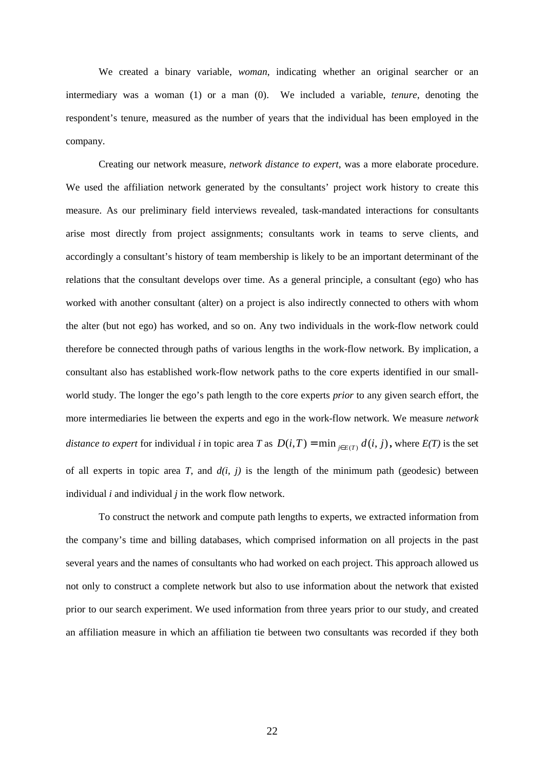We created a binary variable, *woman*, indicating whether an original searcher or an intermediary was a woman (1) or a man (0). We included a variable, *tenure*, denoting the respondent's tenure, measured as the number of years that the individual has been employed in the company.

Creating our network measure, *network distance to expert*, was a more elaborate procedure. We used the affiliation network generated by the consultants' project work history to create this measure. As our preliminary field interviews revealed, task-mandated interactions for consultants arise most directly from project assignments; consultants work in teams to serve clients, and accordingly a consultant's history of team membership is likely to be an important determinant of the relations that the consultant develops over time. As a general principle, a consultant (ego) who has worked with another consultant (alter) on a project is also indirectly connected to others with whom the alter (but not ego) has worked, and so on. Any two individuals in the work-flow network could therefore be connected through paths of various lengths in the work-flow network. By implication, a consultant also has established work-flow network paths to the core experts identified in our smallworld study. The longer the ego's path length to the core experts *prior* to any given search effort, the more intermediaries lie between the experts and ego in the work-flow network. We measure *network distance to expert* for individual *i* in topic area *T* as  $D(i,T) = \min_{j \in E(T)} d(i, j)$ , where  $E(T)$  is the set of all experts in topic area *T*, and  $d(i, j)$  is the length of the minimum path (geodesic) between individual *i* and individual *j* in the work flow network.

 To construct the network and compute path lengths to experts, we extracted information from the company's time and billing databases, which comprised information on all projects in the past several years and the names of consultants who had worked on each project. This approach allowed us not only to construct a complete network but also to use information about the network that existed prior to our search experiment. We used information from three years prior to our study, and created an affiliation measure in which an affiliation tie between two consultants was recorded if they both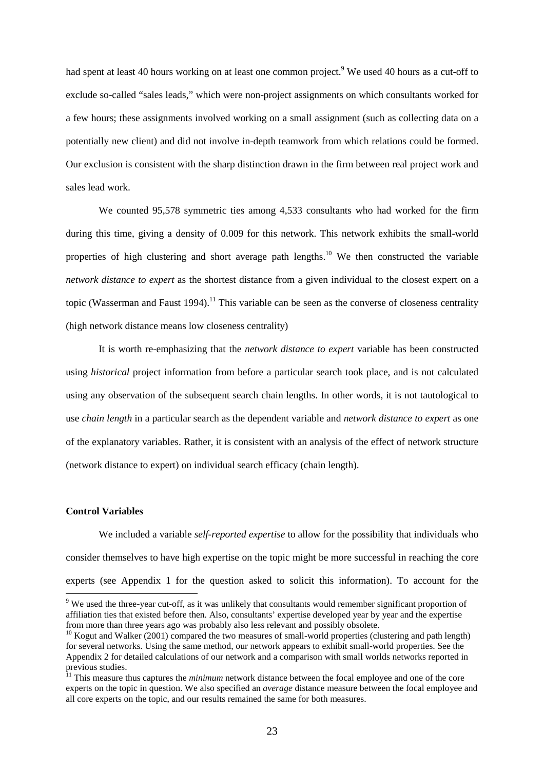had spent at least 40 hours working on at least one common project.<sup>9</sup> We used 40 hours as a cut-off to exclude so-called "sales leads," which were non-project assignments on which consultants worked for a few hours; these assignments involved working on a small assignment (such as collecting data on a potentially new client) and did not involve in-depth teamwork from which relations could be formed. Our exclusion is consistent with the sharp distinction drawn in the firm between real project work and sales lead work.

We counted 95,578 symmetric ties among 4,533 consultants who had worked for the firm during this time, giving a density of 0.009 for this network. This network exhibits the small-world properties of high clustering and short average path lengths.<sup>10</sup> We then constructed the variable *network distance to expert* as the shortest distance from a given individual to the closest expert on a topic (Wasserman and Faust 1994).<sup>11</sup> This variable can be seen as the converse of closeness centrality (high network distance means low closeness centrality)

It is worth re-emphasizing that the *network distance to expert* variable has been constructed using *historical* project information from before a particular search took place, and is not calculated using any observation of the subsequent search chain lengths. In other words, it is not tautological to use *chain length* in a particular search as the dependent variable and *network distance to expert* as one of the explanatory variables. Rather, it is consistent with an analysis of the effect of network structure (network distance to expert) on individual search efficacy (chain length).

#### **Control Variables**

 $\overline{a}$ 

We included a variable *self-reported expertise* to allow for the possibility that individuals who consider themselves to have high expertise on the topic might be more successful in reaching the core experts (see Appendix 1 for the question asked to solicit this information). To account for the

<sup>&</sup>lt;sup>9</sup> We used the three-year cut-off, as it was unlikely that consultants would remember significant proportion of affiliation ties that existed before then. Also, consultants' expertise developed year by year and the expertise from more than three years ago was probably also less relevant and possibly obsolete.

 $10$  Kogut and Walker (2001) compared the two measures of small-world properties (clustering and path length) for several networks. Using the same method, our network appears to exhibit small-world properties. See the Appendix 2 for detailed calculations of our network and a comparison with small worlds networks reported in previous studies.

<sup>&</sup>lt;sup>11</sup> This measure thus captures the *minimum* network distance between the focal employee and one of the core experts on the topic in question. We also specified an *average* distance measure between the focal employee and all core experts on the topic, and our results remained the same for both measures.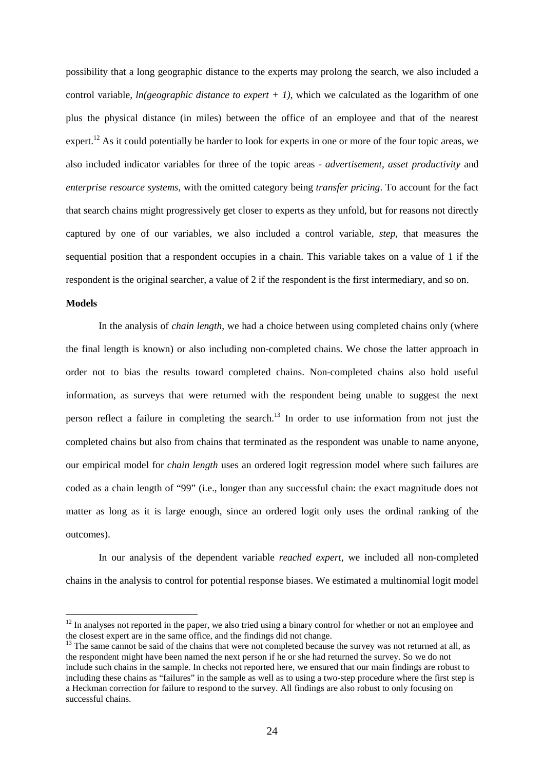possibility that a long geographic distance to the experts may prolong the search, we also included a control variable, *ln(geographic distance to expert + 1)*, which we calculated as the logarithm of one plus the physical distance (in miles) between the office of an employee and that of the nearest expert.<sup>12</sup> As it could potentially be harder to look for experts in one or more of the four topic areas, we also included indicator variables for three of the topic areas - *advertisement*, *asset productivity* and *enterprise resource systems*, with the omitted category being *transfer pricing*. To account for the fact that search chains might progressively get closer to experts as they unfold, but for reasons not directly captured by one of our variables, we also included a control variable, *step*, that measures the sequential position that a respondent occupies in a chain. This variable takes on a value of 1 if the respondent is the original searcher, a value of 2 if the respondent is the first intermediary, and so on.

#### **Models**

 $\overline{a}$ 

In the analysis of *chain length*, we had a choice between using completed chains only (where the final length is known) or also including non-completed chains. We chose the latter approach in order not to bias the results toward completed chains. Non-completed chains also hold useful information, as surveys that were returned with the respondent being unable to suggest the next person reflect a failure in completing the search.<sup>13</sup> In order to use information from not just the completed chains but also from chains that terminated as the respondent was unable to name anyone, our empirical model for *chain length* uses an ordered logit regression model where such failures are coded as a chain length of "99" (i.e., longer than any successful chain: the exact magnitude does not matter as long as it is large enough, since an ordered logit only uses the ordinal ranking of the outcomes).

In our analysis of the dependent variable *reached expert,* we included all non-completed chains in the analysis to control for potential response biases. We estimated a multinomial logit model

 $12$  In analyses not reported in the paper, we also tried using a binary control for whether or not an employee and the closest expert are in the same office, and the findings did not change.

 $13$  The same cannot be said of the chains that were not completed because the survey was not returned at all, as the respondent might have been named the next person if he or she had returned the survey. So we do not include such chains in the sample. In checks not reported here, we ensured that our main findings are robust to including these chains as "failures" in the sample as well as to using a two-step procedure where the first step is a Heckman correction for failure to respond to the survey. All findings are also robust to only focusing on successful chains.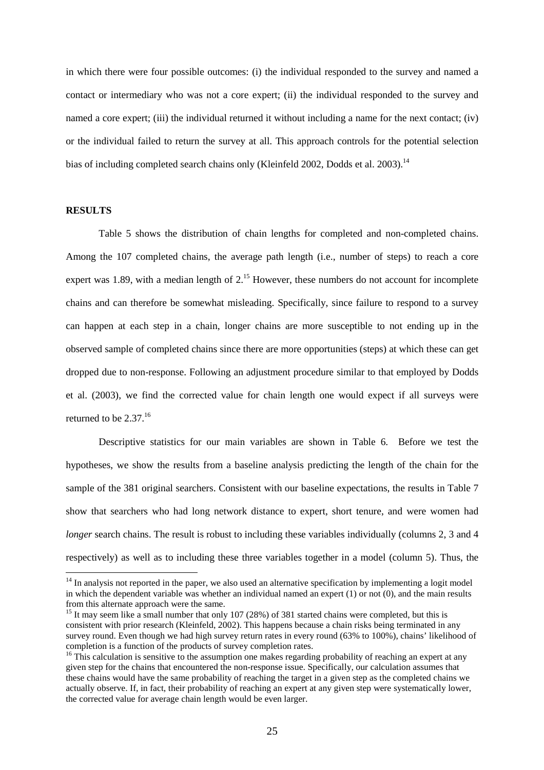in which there were four possible outcomes: (i) the individual responded to the survey and named a contact or intermediary who was not a core expert; (ii) the individual responded to the survey and named a core expert; (iii) the individual returned it without including a name for the next contact; (iv) or the individual failed to return the survey at all. This approach controls for the potential selection bias of including completed search chains only (Kleinfeld 2002, Dodds et al. 2003).<sup>14</sup>

#### **RESULTS**

l

 Table 5 shows the distribution of chain lengths for completed and non-completed chains. Among the 107 completed chains, the average path length (i.e., number of steps) to reach a core expert was 1.89, with a median length of  $2<sup>15</sup>$  However, these numbers do not account for incomplete chains and can therefore be somewhat misleading. Specifically, since failure to respond to a survey can happen at each step in a chain, longer chains are more susceptible to not ending up in the observed sample of completed chains since there are more opportunities (steps) at which these can get dropped due to non-response. Following an adjustment procedure similar to that employed by Dodds et al. (2003), we find the corrected value for chain length one would expect if all surveys were returned to be  $2.37<sup>16</sup>$ 

Descriptive statistics for our main variables are shown in Table 6. Before we test the hypotheses, we show the results from a baseline analysis predicting the length of the chain for the sample of the 381 original searchers. Consistent with our baseline expectations, the results in Table 7 show that searchers who had long network distance to expert, short tenure, and were women had *longer* search chains. The result is robust to including these variables individually (columns 2, 3 and 4 respectively) as well as to including these three variables together in a model (column 5). Thus, the

 $14$  In analysis not reported in the paper, we also used an alternative specification by implementing a logit model in which the dependent variable was whether an individual named an expert (1) or not (0), and the main results from this alternate approach were the same.

<sup>&</sup>lt;sup>15</sup> It may seem like a small number that only 107 (28%) of 381 started chains were completed, but this is consistent with prior research (Kleinfeld, 2002). This happens because a chain risks being terminated in any survey round. Even though we had high survey return rates in every round (63% to 100%), chains' likelihood of completion is a function of the products of survey completion rates.

 $16$  This calculation is sensitive to the assumption one makes regarding probability of reaching an expert at any given step for the chains that encountered the non-response issue. Specifically, our calculation assumes that these chains would have the same probability of reaching the target in a given step as the completed chains we actually observe. If, in fact, their probability of reaching an expert at any given step were systematically lower, the corrected value for average chain length would be even larger.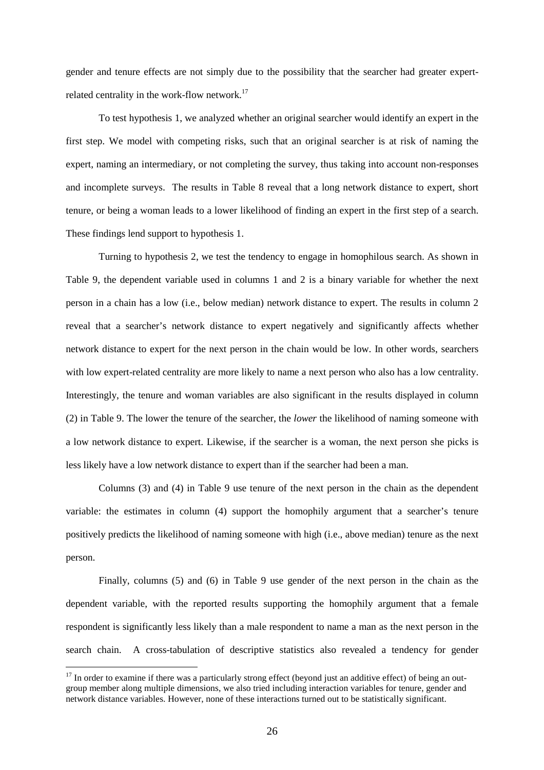gender and tenure effects are not simply due to the possibility that the searcher had greater expertrelated centrality in the work-flow network. $17$ 

 To test hypothesis 1, we analyzed whether an original searcher would identify an expert in the first step. We model with competing risks, such that an original searcher is at risk of naming the expert, naming an intermediary, or not completing the survey, thus taking into account non-responses and incomplete surveys. The results in Table 8 reveal that a long network distance to expert, short tenure, or being a woman leads to a lower likelihood of finding an expert in the first step of a search. These findings lend support to hypothesis 1.

Turning to hypothesis 2, we test the tendency to engage in homophilous search. As shown in Table 9, the dependent variable used in columns 1 and 2 is a binary variable for whether the next person in a chain has a low (i.e., below median) network distance to expert. The results in column 2 reveal that a searcher's network distance to expert negatively and significantly affects whether network distance to expert for the next person in the chain would be low. In other words, searchers with low expert-related centrality are more likely to name a next person who also has a low centrality. Interestingly, the tenure and woman variables are also significant in the results displayed in column (2) in Table 9. The lower the tenure of the searcher, the *lower* the likelihood of naming someone with a low network distance to expert. Likewise, if the searcher is a woman, the next person she picks is less likely have a low network distance to expert than if the searcher had been a man.

Columns (3) and (4) in Table 9 use tenure of the next person in the chain as the dependent variable: the estimates in column (4) support the homophily argument that a searcher's tenure positively predicts the likelihood of naming someone with high (i.e., above median) tenure as the next person.

Finally, columns (5) and (6) in Table 9 use gender of the next person in the chain as the dependent variable, with the reported results supporting the homophily argument that a female respondent is significantly less likely than a male respondent to name a man as the next person in the search chain. A cross-tabulation of descriptive statistics also revealed a tendency for gender

 $\overline{a}$ 

 $17$  In order to examine if there was a particularly strong effect (beyond just an additive effect) of being an outgroup member along multiple dimensions, we also tried including interaction variables for tenure, gender and network distance variables. However, none of these interactions turned out to be statistically significant.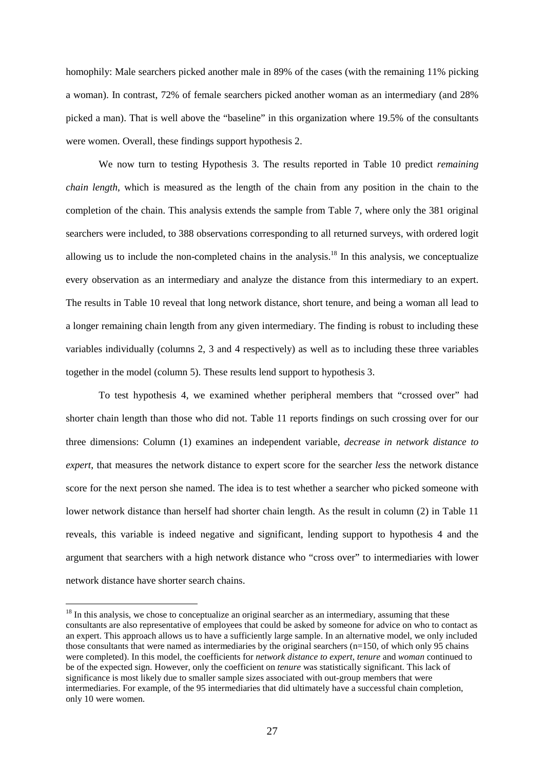homophily: Male searchers picked another male in 89% of the cases (with the remaining 11% picking a woman). In contrast, 72% of female searchers picked another woman as an intermediary (and 28% picked a man). That is well above the "baseline" in this organization where 19.5% of the consultants were women. Overall, these findings support hypothesis 2.

We now turn to testing Hypothesis 3. The results reported in Table 10 predict *remaining chain length*, which is measured as the length of the chain from any position in the chain to the completion of the chain. This analysis extends the sample from Table 7, where only the 381 original searchers were included, to 388 observations corresponding to all returned surveys, with ordered logit allowing us to include the non-completed chains in the analysis.<sup>18</sup> In this analysis, we conceptualize every observation as an intermediary and analyze the distance from this intermediary to an expert. The results in Table 10 reveal that long network distance, short tenure, and being a woman all lead to a longer remaining chain length from any given intermediary. The finding is robust to including these variables individually (columns 2, 3 and 4 respectively) as well as to including these three variables together in the model (column 5). These results lend support to hypothesis 3.

To test hypothesis 4, we examined whether peripheral members that "crossed over" had shorter chain length than those who did not. Table 11 reports findings on such crossing over for our three dimensions: Column (1) examines an independent variable, *decrease in network distance to expert*, that measures the network distance to expert score for the searcher *less* the network distance score for the next person she named. The idea is to test whether a searcher who picked someone with lower network distance than herself had shorter chain length. As the result in column (2) in Table 11 reveals, this variable is indeed negative and significant, lending support to hypothesis 4 and the argument that searchers with a high network distance who "cross over" to intermediaries with lower network distance have shorter search chains.

 $\overline{a}$ 

 $18$  In this analysis, we chose to conceptualize an original searcher as an intermediary, assuming that these consultants are also representative of employees that could be asked by someone for advice on who to contact as an expert. This approach allows us to have a sufficiently large sample. In an alternative model, we only included those consultants that were named as intermediaries by the original searchers (n=150, of which only 95 chains were completed). In this model, the coefficients for *network distance to expert*, *tenure* and *woman* continued to be of the expected sign. However, only the coefficient on *tenure* was statistically significant. This lack of significance is most likely due to smaller sample sizes associated with out-group members that were intermediaries. For example, of the 95 intermediaries that did ultimately have a successful chain completion, only 10 were women.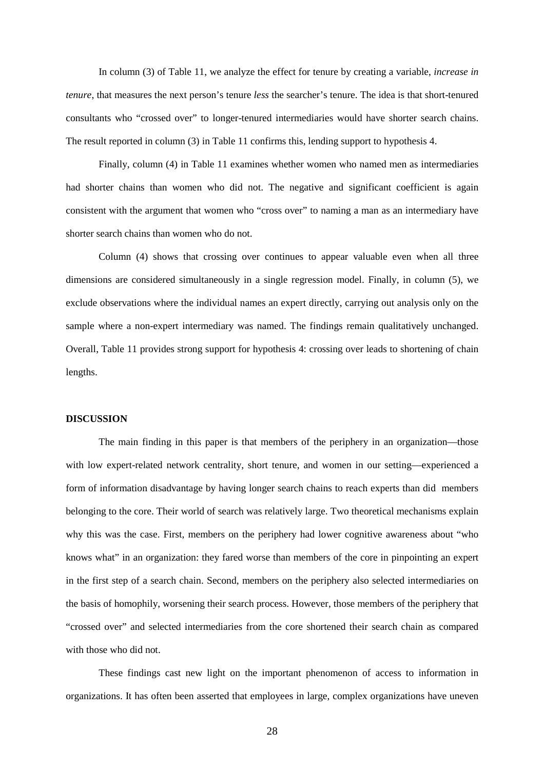In column (3) of Table 11, we analyze the effect for tenure by creating a variable, *increase in tenure*, that measures the next person's tenure *less* the searcher's tenure. The idea is that short-tenured consultants who "crossed over" to longer-tenured intermediaries would have shorter search chains. The result reported in column (3) in Table 11 confirms this, lending support to hypothesis 4.

Finally, column (4) in Table 11 examines whether women who named men as intermediaries had shorter chains than women who did not. The negative and significant coefficient is again consistent with the argument that women who "cross over" to naming a man as an intermediary have shorter search chains than women who do not.

Column (4) shows that crossing over continues to appear valuable even when all three dimensions are considered simultaneously in a single regression model. Finally, in column (5), we exclude observations where the individual names an expert directly, carrying out analysis only on the sample where a non-expert intermediary was named. The findings remain qualitatively unchanged. Overall, Table 11 provides strong support for hypothesis 4: crossing over leads to shortening of chain lengths.

#### **DISCUSSION**

The main finding in this paper is that members of the periphery in an organization—those with low expert-related network centrality, short tenure, and women in our setting—experienced a form of information disadvantage by having longer search chains to reach experts than did members belonging to the core. Their world of search was relatively large. Two theoretical mechanisms explain why this was the case. First, members on the periphery had lower cognitive awareness about "who knows what" in an organization: they fared worse than members of the core in pinpointing an expert in the first step of a search chain. Second, members on the periphery also selected intermediaries on the basis of homophily, worsening their search process. However, those members of the periphery that "crossed over" and selected intermediaries from the core shortened their search chain as compared with those who did not.

These findings cast new light on the important phenomenon of access to information in organizations. It has often been asserted that employees in large, complex organizations have uneven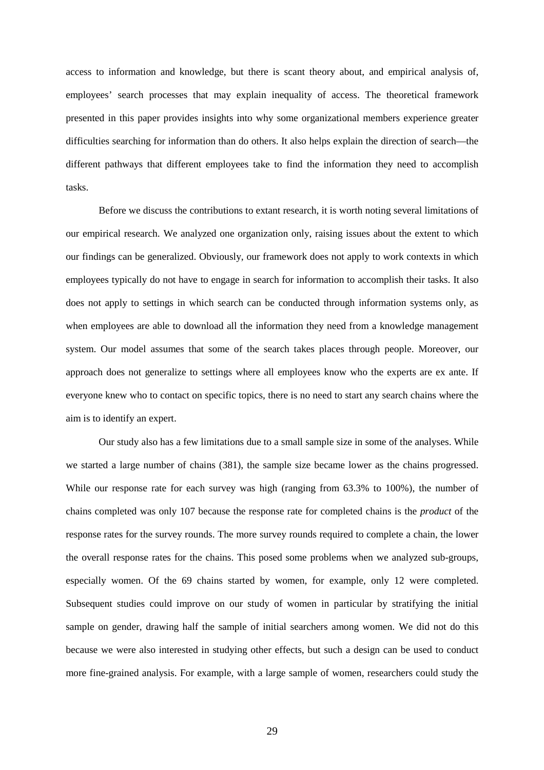access to information and knowledge, but there is scant theory about, and empirical analysis of, employees' search processes that may explain inequality of access. The theoretical framework presented in this paper provides insights into why some organizational members experience greater difficulties searching for information than do others. It also helps explain the direction of search—the different pathways that different employees take to find the information they need to accomplish tasks.

Before we discuss the contributions to extant research, it is worth noting several limitations of our empirical research. We analyzed one organization only, raising issues about the extent to which our findings can be generalized. Obviously, our framework does not apply to work contexts in which employees typically do not have to engage in search for information to accomplish their tasks. It also does not apply to settings in which search can be conducted through information systems only, as when employees are able to download all the information they need from a knowledge management system. Our model assumes that some of the search takes places through people. Moreover, our approach does not generalize to settings where all employees know who the experts are ex ante. If everyone knew who to contact on specific topics, there is no need to start any search chains where the aim is to identify an expert.

Our study also has a few limitations due to a small sample size in some of the analyses. While we started a large number of chains (381), the sample size became lower as the chains progressed. While our response rate for each survey was high (ranging from 63.3% to 100%), the number of chains completed was only 107 because the response rate for completed chains is the *product* of the response rates for the survey rounds. The more survey rounds required to complete a chain, the lower the overall response rates for the chains. This posed some problems when we analyzed sub-groups, especially women. Of the 69 chains started by women, for example, only 12 were completed. Subsequent studies could improve on our study of women in particular by stratifying the initial sample on gender, drawing half the sample of initial searchers among women. We did not do this because we were also interested in studying other effects, but such a design can be used to conduct more fine-grained analysis. For example, with a large sample of women, researchers could study the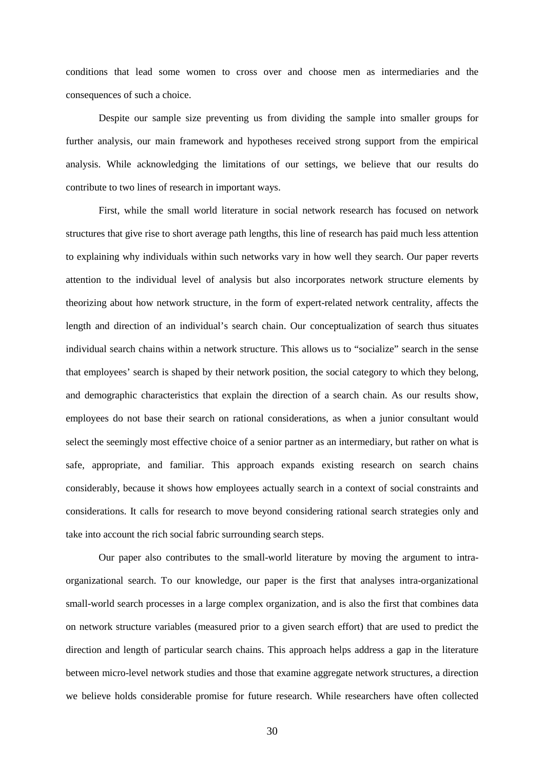conditions that lead some women to cross over and choose men as intermediaries and the consequences of such a choice.

Despite our sample size preventing us from dividing the sample into smaller groups for further analysis, our main framework and hypotheses received strong support from the empirical analysis. While acknowledging the limitations of our settings, we believe that our results do contribute to two lines of research in important ways.

First, while the small world literature in social network research has focused on network structures that give rise to short average path lengths, this line of research has paid much less attention to explaining why individuals within such networks vary in how well they search. Our paper reverts attention to the individual level of analysis but also incorporates network structure elements by theorizing about how network structure, in the form of expert-related network centrality, affects the length and direction of an individual's search chain. Our conceptualization of search thus situates individual search chains within a network structure. This allows us to "socialize" search in the sense that employees' search is shaped by their network position, the social category to which they belong, and demographic characteristics that explain the direction of a search chain. As our results show, employees do not base their search on rational considerations, as when a junior consultant would select the seemingly most effective choice of a senior partner as an intermediary, but rather on what is safe, appropriate, and familiar. This approach expands existing research on search chains considerably, because it shows how employees actually search in a context of social constraints and considerations. It calls for research to move beyond considering rational search strategies only and take into account the rich social fabric surrounding search steps.

Our paper also contributes to the small-world literature by moving the argument to intraorganizational search. To our knowledge, our paper is the first that analyses intra-organizational small-world search processes in a large complex organization, and is also the first that combines data on network structure variables (measured prior to a given search effort) that are used to predict the direction and length of particular search chains. This approach helps address a gap in the literature between micro-level network studies and those that examine aggregate network structures, a direction we believe holds considerable promise for future research. While researchers have often collected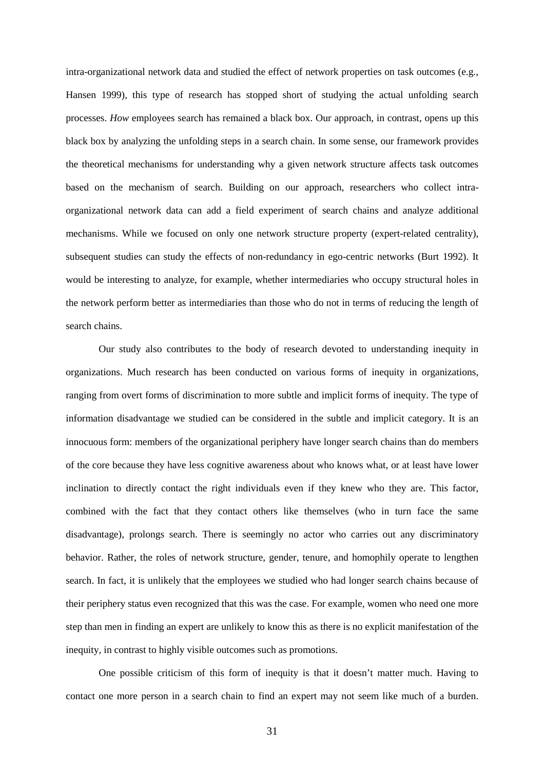intra-organizational network data and studied the effect of network properties on task outcomes (e.g., Hansen 1999), this type of research has stopped short of studying the actual unfolding search processes. *How* employees search has remained a black box. Our approach, in contrast, opens up this black box by analyzing the unfolding steps in a search chain. In some sense, our framework provides the theoretical mechanisms for understanding why a given network structure affects task outcomes based on the mechanism of search. Building on our approach, researchers who collect intraorganizational network data can add a field experiment of search chains and analyze additional mechanisms. While we focused on only one network structure property (expert-related centrality), subsequent studies can study the effects of non-redundancy in ego-centric networks (Burt 1992). It would be interesting to analyze, for example, whether intermediaries who occupy structural holes in the network perform better as intermediaries than those who do not in terms of reducing the length of search chains.

Our study also contributes to the body of research devoted to understanding inequity in organizations. Much research has been conducted on various forms of inequity in organizations, ranging from overt forms of discrimination to more subtle and implicit forms of inequity. The type of information disadvantage we studied can be considered in the subtle and implicit category. It is an innocuous form: members of the organizational periphery have longer search chains than do members of the core because they have less cognitive awareness about who knows what, or at least have lower inclination to directly contact the right individuals even if they knew who they are. This factor, combined with the fact that they contact others like themselves (who in turn face the same disadvantage), prolongs search. There is seemingly no actor who carries out any discriminatory behavior. Rather, the roles of network structure, gender, tenure, and homophily operate to lengthen search. In fact, it is unlikely that the employees we studied who had longer search chains because of their periphery status even recognized that this was the case. For example, women who need one more step than men in finding an expert are unlikely to know this as there is no explicit manifestation of the inequity, in contrast to highly visible outcomes such as promotions.

One possible criticism of this form of inequity is that it doesn't matter much. Having to contact one more person in a search chain to find an expert may not seem like much of a burden.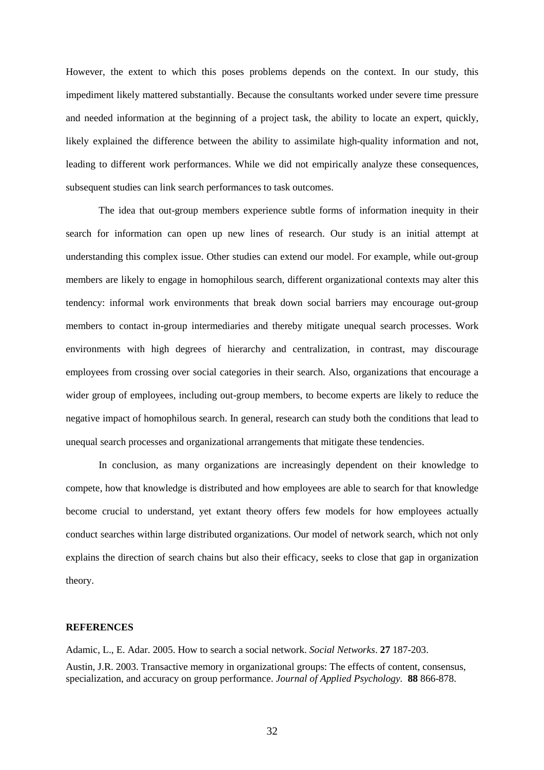However, the extent to which this poses problems depends on the context. In our study, this impediment likely mattered substantially. Because the consultants worked under severe time pressure and needed information at the beginning of a project task, the ability to locate an expert, quickly, likely explained the difference between the ability to assimilate high-quality information and not, leading to different work performances. While we did not empirically analyze these consequences, subsequent studies can link search performances to task outcomes.

The idea that out-group members experience subtle forms of information inequity in their search for information can open up new lines of research. Our study is an initial attempt at understanding this complex issue. Other studies can extend our model. For example, while out-group members are likely to engage in homophilous search, different organizational contexts may alter this tendency: informal work environments that break down social barriers may encourage out-group members to contact in-group intermediaries and thereby mitigate unequal search processes. Work environments with high degrees of hierarchy and centralization, in contrast, may discourage employees from crossing over social categories in their search. Also, organizations that encourage a wider group of employees, including out-group members, to become experts are likely to reduce the negative impact of homophilous search. In general, research can study both the conditions that lead to unequal search processes and organizational arrangements that mitigate these tendencies.

In conclusion, as many organizations are increasingly dependent on their knowledge to compete, how that knowledge is distributed and how employees are able to search for that knowledge become crucial to understand, yet extant theory offers few models for how employees actually conduct searches within large distributed organizations. Our model of network search, which not only explains the direction of search chains but also their efficacy, seeks to close that gap in organization theory.

#### **REFERENCES**

Adamic, L., E. Adar. 2005. How to search a social network. *Social Networks*. **27** 187-203. Austin, J.R. 2003. Transactive memory in organizational groups: The effects of content, consensus, specialization, and accuracy on group performance. *Journal of Applied Psychology.* **88** 866-878.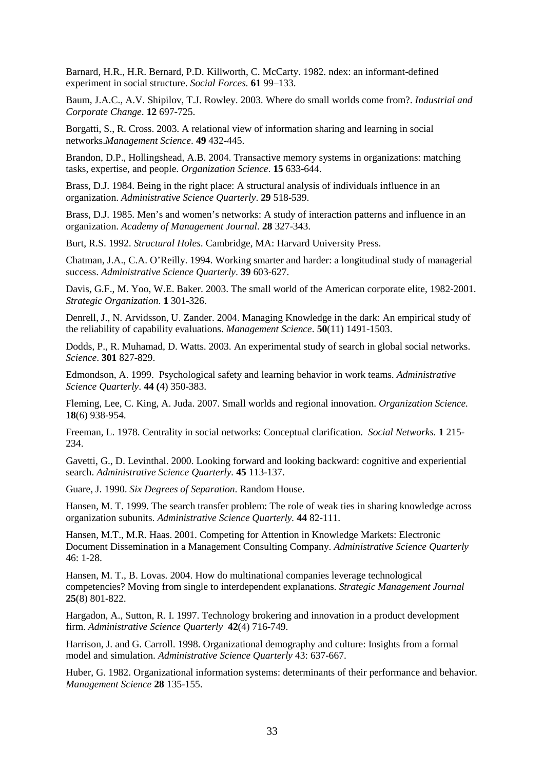Barnard, H.R., H.R. Bernard, P.D. Killworth, C. McCarty. 1982. ndex: an informant-defined experiment in social structure. *Social Forces.* **61** 99–133.

Baum, J.A.C., A.V. Shipilov, T.J. Rowley. 2003. Where do small worlds come from?. *Industrial and Corporate Change*. **12** 697-725.

Borgatti, S., R. Cross. 2003. A relational view of information sharing and learning in social networks.*Management Science*. **49** 432-445.

Brandon, D.P., Hollingshead, A.B. 2004. Transactive memory systems in organizations: matching tasks, expertise, and people. *Organization Science*. **15** 633-644.

Brass, D.J. 1984. Being in the right place: A structural analysis of individuals influence in an organization. *Administrative Science Quarterly*. **29** 518-539.

Brass, D.J. 1985. Men's and women's networks: A study of interaction patterns and influence in an organization. *Academy of Management Journal.* **28** 327-343.

Burt, R.S. 1992. *Structural Holes*. Cambridge, MA: Harvard University Press.

Chatman, J.A., C.A. O'Reilly. 1994. Working smarter and harder: a longitudinal study of managerial success. *Administrative Science Quarterly*. **39** 603-627.

Davis, G.F., M. Yoo, W.E. Baker. 2003. The small world of the American corporate elite, 1982-2001. *Strategic Organization*. **1** 301-326.

Denrell, J., N. Arvidsson, U. Zander. 2004. Managing Knowledge in the dark: An empirical study of the reliability of capability evaluations. *Management Science*. **50**(11) 1491-1503.

Dodds, P., R. Muhamad, D. Watts. 2003. An experimental study of search in global social networks. *Science*. **301** 827-829.

Edmondson, A. 1999. Psychological safety and learning behavior in work teams. *Administrative Science Quarterly*. **44 (**4) 350-383.

Fleming, Lee, C. King, A. Juda. 2007. Small worlds and regional innovation. *Organization Science.* **18**(6) 938-954.

Freeman, L. 1978. Centrality in social networks: Conceptual clarification. *Social Networks.* **1** 215- 234.

Gavetti, G., D. Levinthal. 2000. Looking forward and looking backward: cognitive and experiential search. *Administrative Science Quarterly.* **45** 113-137.

Guare, J. 1990. *Six Degrees of Separation*. Random House.

Hansen, M. T. 1999. The search transfer problem: The role of weak ties in sharing knowledge across organization subunits. *Administrative Science Quarterly.* **44** 82-111.

Hansen, M.T., M.R. Haas. 2001. Competing for Attention in Knowledge Markets: Electronic Document Dissemination in a Management Consulting Company. *Administrative Science Quarterly* 46: 1-28.

Hansen, M. T., B. Lovas. 2004. How do multinational companies leverage technological competencies? Moving from single to interdependent explanations. *Strategic Management Journal*  **25**(8) 801-822.

Hargadon, A., Sutton, R. I. 1997. Technology brokering and innovation in a product development firm. *Administrative Science Quarterly* **42**(4) 716-749.

Harrison, J. and G. Carroll. 1998. Organizational demography and culture: Insights from a formal model and simulation. *Administrative Science Quarterly* 43: 637-667.

Huber, G. 1982. Organizational information systems: determinants of their performance and behavior. *Management Science* **28** 135-155.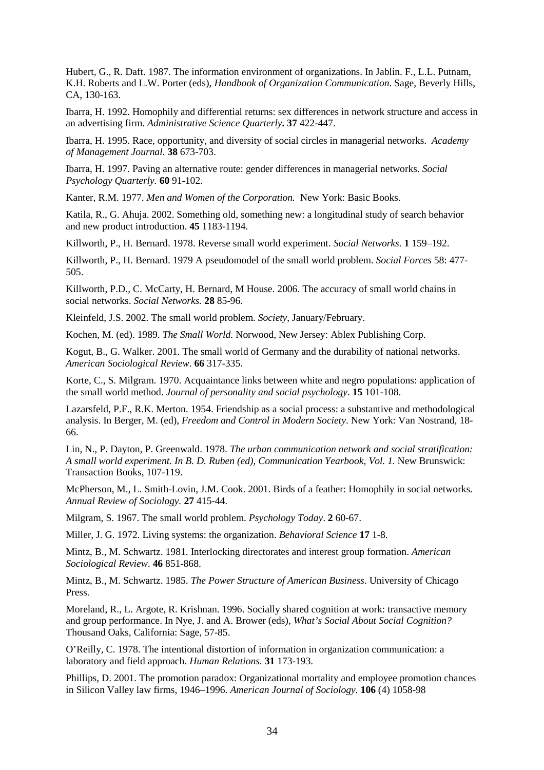Hubert, G., R. Daft. 1987. The information environment of organizations. In Jablin. F., L.L. Putnam, K.H. Roberts and L.W. Porter (eds), *Handbook of Organization Communication*. Sage, Beverly Hills, CA, 130-163.

Ibarra, H. 1992. Homophily and differential returns: sex differences in network structure and access in an advertising firm. *Administrative Science Quarterly***. 37** 422-447.

Ibarra, H. 1995. Race, opportunity, and diversity of social circles in managerial networks. *Academy of Management Journal.* **38** 673-703.

Ibarra, H. 1997. Paving an alternative route: gender differences in managerial networks. *Social Psychology Quarterly.* **60** 91-102.

Kanter, R.M. 1977. *Men and Women of the Corporation.* New York: Basic Books.

Katila, R., G. Ahuja. 2002. Something old, something new: a longitudinal study of search behavior and new product introduction. **45** 1183-1194.

Killworth, P., H. Bernard. 1978. Reverse small world experiment. *Social Networks*. **1** 159–192.

Killworth, P., H. Bernard. 1979 A pseudomodel of the small world problem. *Social Forces* 58: 477- 505.

Killworth, P.D., C. McCarty, H. Bernard, M House. 2006. The accuracy of small world chains in social networks. *Social Networks.* **28** 85-96.

Kleinfeld, J.S. 2002. The small world problem. *Society*, January/February.

Kochen, M. (ed). 1989. *The Small World.* Norwood, New Jersey: Ablex Publishing Corp.

Kogut, B., G. Walker. 2001. The small world of Germany and the durability of national networks. *American Sociological Review*. **66** 317-335.

Korte, C., S. Milgram. 1970. Acquaintance links between white and negro populations: application of the small world method. *Journal of personality and social psychology*. **15** 101-108.

Lazarsfeld, P.F., R.K. Merton. 1954. Friendship as a social process: a substantive and methodological analysis. In Berger, M. (ed), *Freedom and Control in Modern Society*. New York: Van Nostrand, 18- 66.

Lin, N., P. Dayton, P. Greenwald. 1978. *The urban communication network and social stratification: A small world experiment. In B. D. Ruben (ed), Communication Yearbook, Vol. 1.* New Brunswick: Transaction Books, 107-119.

McPherson, M., L. Smith-Lovin, J.M. Cook. 2001. Birds of a feather: Homophily in social networks. *Annual Review of Sociology.* **27** 415-44.

Milgram, S. 1967. The small world problem. *Psychology Today*. **2** 60-67.

Miller, J. G. 1972. Living systems: the organization. *Behavioral Science* **17** 1-8.

Mintz, B., M. Schwartz. 1981. Interlocking directorates and interest group formation. *American Sociological Review*. **46** 851-868.

Mintz, B., M. Schwartz. 1985. *The Power Structure of American Business*. University of Chicago Press.

Moreland, R., L. Argote, R. Krishnan. 1996. Socially shared cognition at work: transactive memory and group performance. In Nye, J. and A. Brower (eds), *What's Social About Social Cognition?* Thousand Oaks, California: Sage, 57-85.

O'Reilly, C. 1978. The intentional distortion of information in organization communication: a laboratory and field approach. *Human Relations.* **31** 173-193.

Phillips, D. 2001. The promotion paradox: Organizational mortality and employee promotion chances in Silicon Valley law firms, 1946–1996. *American Journal of Sociology.* **106** (4) 1058-98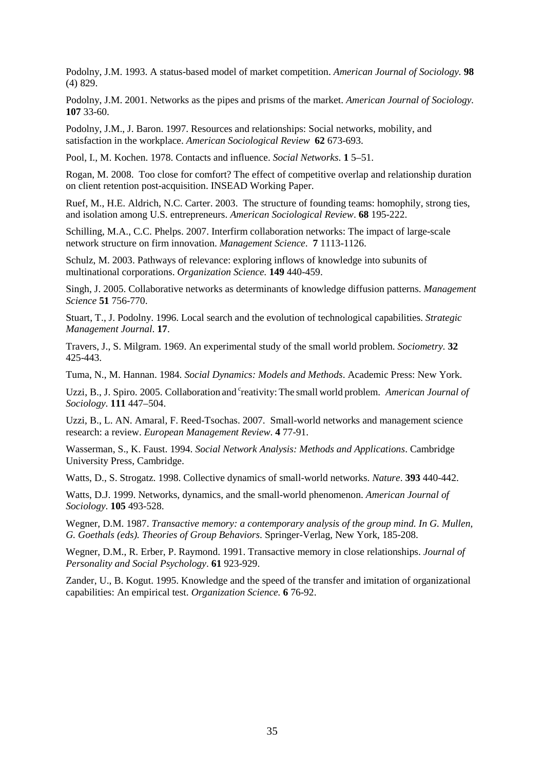Podolny, J.M. 1993. A status-based model of market competition. *American Journal of Sociology.* **98** (4) 829.

Podolny, J.M. 2001. Networks as the pipes and prisms of the market. *American Journal of Sociology.*  **107** 33-60.

Podolny, J.M., J. Baron. 1997. Resources and relationships: Social networks, mobility, and satisfaction in the workplace. *American Sociological Review* **62** 673-693.

Pool, I., M. Kochen. 1978. Contacts and influence. *Social Networks*. **1** 5–51.

Rogan, M. 2008. Too close for comfort? The effect of competitive overlap and relationship duration on client retention post-acquisition. INSEAD Working Paper.

Ruef, M., H.E. Aldrich, N.C. Carter. 2003. The structure of founding teams: homophily, strong ties, and isolation among U.S. entrepreneurs. *American Sociological Review*. **68** 195-222.

Schilling, M.A., C.C. Phelps. 2007. Interfirm collaboration networks: The impact of large-scale network structure on firm innovation. *Management Science*. **7** 1113-1126.

Schulz, M. 2003. Pathways of relevance: exploring inflows of knowledge into subunits of multinational corporations. *Organization Science.* **149** 440-459.

Singh, J. 2005. Collaborative networks as determinants of knowledge diffusion patterns. *Management Science* **51** 756-770.

Stuart, T., J. Podolny. 1996. Local search and the evolution of technological capabilities. *Strategic Management Journal*. **17**.

Travers, J., S. Milgram. 1969. An experimental study of the small world problem. *Sociometry.* **32** 425-443.

Tuma, N., M. Hannan. 1984. *Social Dynamics: Models and Methods*. Academic Press: New York.

Uzzi, B., J. Spiro. 2005. Collaboration and <sup>c</sup>reativity: The small world problem. *American Journal of Sociology*. **111** 447–504.

Uzzi, B., L. AN. Amaral, F. Reed-Tsochas. 2007. Small-world networks and management science research: a review. *European Management Review*. **4** 77-91.

Wasserman, S., K. Faust. 1994. *Social Network Analysis: Methods and Applications*. Cambridge University Press, Cambridge.

Watts, D., S. Strogatz. 1998. Collective dynamics of small-world networks. *Nature*. **393** 440-442.

Watts, D.J. 1999. Networks, dynamics, and the small-world phenomenon. *American Journal of Sociology*. **105** 493-528.

Wegner, D.M. 1987. *Transactive memory: a contemporary analysis of the group mind. In G. Mullen, G. Goethals (eds). Theories of Group Behaviors*. Springer-Verlag, New York, 185-208.

Wegner, D.M., R. Erber, P. Raymond. 1991. Transactive memory in close relationships. *Journal of Personality and Social Psychology*. **61** 923-929.

Zander, U., B. Kogut. 1995. Knowledge and the speed of the transfer and imitation of organizational capabilities: An empirical test. *Organization Science.* **6** 76-92.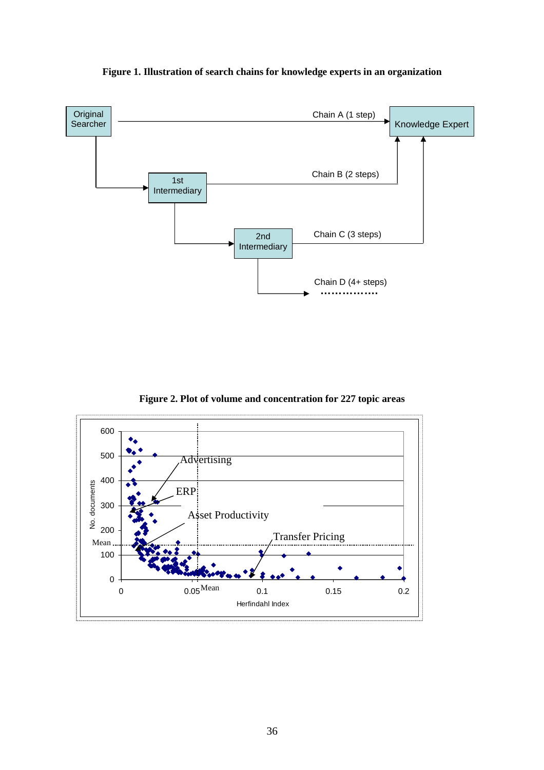





**Figure 2. Plot of volume and concentration for 227 topic areas**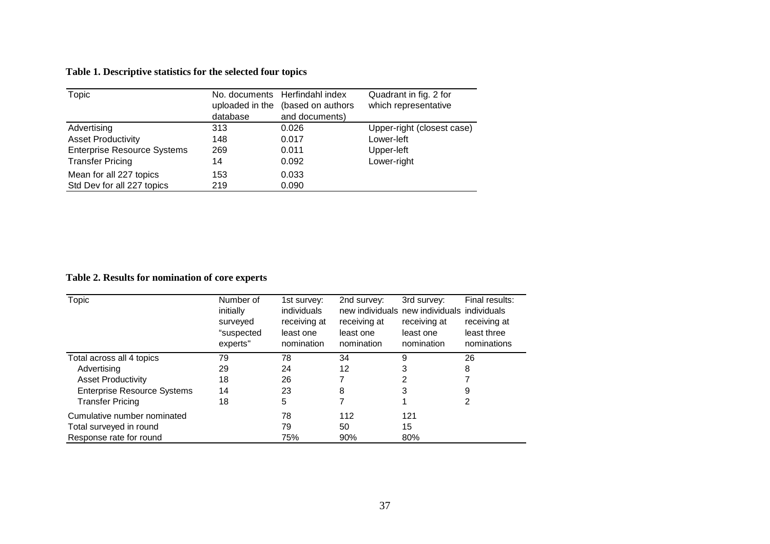#### **Table 1. Descriptive statistics for the selected four topics**

| Topic                              | uploaded in the | No. documents Herfindahl index<br>(based on authors | Quadrant in fig. 2 for<br>which representative |  |
|------------------------------------|-----------------|-----------------------------------------------------|------------------------------------------------|--|
|                                    | database        | and documents)                                      |                                                |  |
| Advertising                        | 313             | 0.026                                               | Upper-right (closest case)                     |  |
| <b>Asset Productivity</b>          | 148             | 0.017                                               | Lower-left                                     |  |
| <b>Enterprise Resource Systems</b> | 269             | 0.011                                               | Upper-left                                     |  |
| <b>Transfer Pricing</b>            | 14              | 0.092                                               | Lower-right                                    |  |
| Mean for all 227 topics            | 153             | 0.033                                               |                                                |  |
| Std Dev for all 227 topics         | 219             | 0.090                                               |                                                |  |

#### **Table 2. Results for nomination of core experts**

| Topic                              | Number of<br>initially<br>surveyed<br>"suspected<br>experts" | 1st survey:<br>individuals<br>receiving at<br>least one<br>nomination | 2nd survey:<br>receiving at<br>least one<br>nomination | 3rd survey:<br>new individuals new individuals individuals<br>receiving at<br>least one<br>nomination | Final results:<br>receiving at<br>least three<br>nominations |
|------------------------------------|--------------------------------------------------------------|-----------------------------------------------------------------------|--------------------------------------------------------|-------------------------------------------------------------------------------------------------------|--------------------------------------------------------------|
| Total across all 4 topics          | 79                                                           | 78                                                                    | 34                                                     | 9                                                                                                     | 26                                                           |
| Advertising                        | 29                                                           | 24                                                                    | 12                                                     | 3                                                                                                     | 8                                                            |
| <b>Asset Productivity</b>          | 18                                                           | 26                                                                    |                                                        | 2                                                                                                     |                                                              |
| <b>Enterprise Resource Systems</b> | 14                                                           | 23                                                                    | 8                                                      | 3                                                                                                     | 9                                                            |
| <b>Transfer Pricing</b>            | 18                                                           | 5                                                                     |                                                        |                                                                                                       | 2                                                            |
| Cumulative number nominated        |                                                              | 78                                                                    | 112                                                    | 121                                                                                                   |                                                              |
| Total surveyed in round            |                                                              | 79                                                                    | 50                                                     | 15                                                                                                    |                                                              |
| Response rate for round            |                                                              | 75%                                                                   | 90%                                                    | 80%                                                                                                   |                                                              |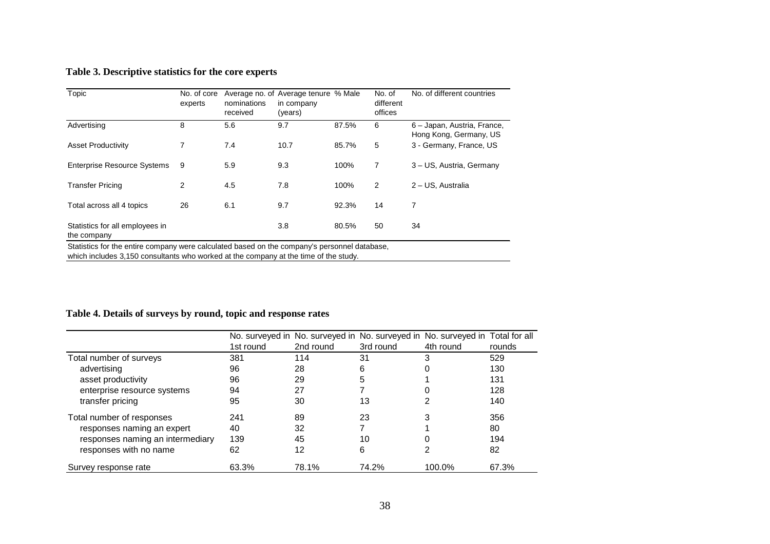## **Table 3. Descriptive statistics for the core experts**

| Topic                                          | No. of core<br>experts | nominations<br>received | Average no. of Average tenure % Male<br>in company<br>(years) |       | No. of<br>different<br>offices | No. of different countries                            |
|------------------------------------------------|------------------------|-------------------------|---------------------------------------------------------------|-------|--------------------------------|-------------------------------------------------------|
| Advertising                                    | 8                      | 5.6                     | 9.7                                                           | 87.5% | 6                              | 6 - Japan, Austria, France,<br>Hong Kong, Germany, US |
| <b>Asset Productivity</b>                      | 7                      | 7.4                     | 10.7                                                          | 85.7% | 5                              | 3 - Germany, France, US                               |
| <b>Enterprise Resource Systems</b>             | 9                      | 5.9                     | 9.3                                                           | 100%  | 7                              | 3 - US, Austria, Germany                              |
| <b>Transfer Pricing</b>                        | 2                      | 4.5                     | 7.8                                                           | 100%  | $\overline{2}$                 | 2 - US, Australia                                     |
| Total across all 4 topics                      | 26                     | 6.1                     | 9.7                                                           | 92.3% | 14                             | 7                                                     |
| Statistics for all employees in<br>the company |                        |                         | 3.8                                                           | 80.5% | 50                             | 34                                                    |

which includes 3,150 consultants who worked at the company at the time of the study.

## **Table 4. Details of surveys by round, topic and response rates**

|                                  |           | No. surveyed in No. surveyed in No. surveyed in No. surveyed in Total for all |           |           |        |
|----------------------------------|-----------|-------------------------------------------------------------------------------|-----------|-----------|--------|
|                                  | 1st round | 2nd round                                                                     | 3rd round | 4th round | rounds |
| Total number of surveys          | 381       | 114                                                                           | 31        | 3         | 529    |
| advertising                      | 96        | 28                                                                            | 6         |           | 130    |
| asset productivity               | 96        | 29                                                                            | 5         |           | 131    |
| enterprise resource systems      | 94        | 27                                                                            |           |           | 128    |
| transfer pricing                 | 95        | 30                                                                            | 13        |           | 140    |
| Total number of responses        | 241       | 89                                                                            | 23        |           | 356    |
| responses naming an expert       | 40        | 32                                                                            |           |           | 80     |
| responses naming an intermediary | 139       | 45                                                                            | 10        |           | 194    |
| responses with no name           | 62        | 12                                                                            | 6         |           | 82     |
| Survey response rate             | 63.3%     | 78.1%                                                                         | 74.2%     | 100.0%    | 67.3%  |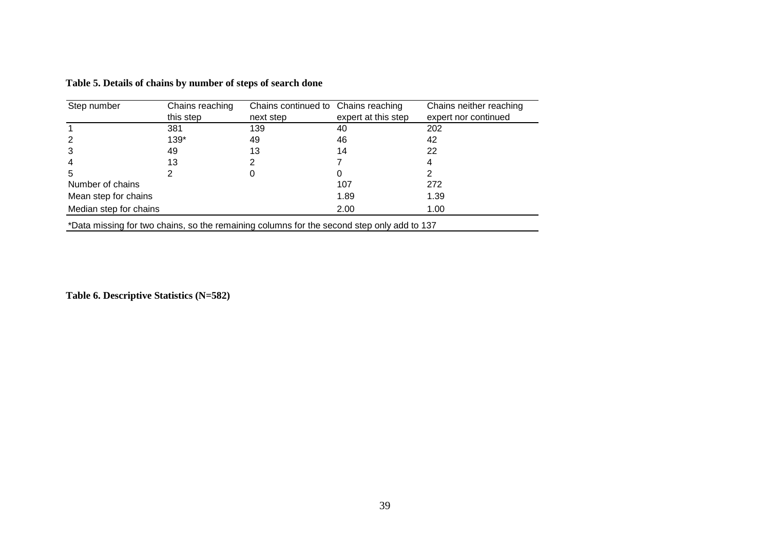| Step number            | Chains reaching | Chains continued to Chains reaching |                     | Chains neither reaching |
|------------------------|-----------------|-------------------------------------|---------------------|-------------------------|
|                        | this step       | next step                           | expert at this step | expert nor continued    |
|                        | 381             | 139                                 | 40                  | 202                     |
|                        | 139*            | 49                                  | 46                  | 42                      |
| 3                      | 49              | 13                                  | 14                  | 22                      |
| 4                      | 13              |                                     |                     |                         |
| 5                      |                 |                                     |                     |                         |
| Number of chains       |                 |                                     | 107                 | 272                     |
| Mean step for chains   |                 |                                     | 1.89                | 1.39                    |
| Median step for chains |                 |                                     | 2.00                | 1.00                    |
| .                      |                 | $\cdots$                            |                     |                         |

**Table 5. Details of chains by number of steps of search done** 

\*Data missing for two chains, so the remaining columns for the second step only add to 137

**Table 6. Descriptive Statistics (N=582)**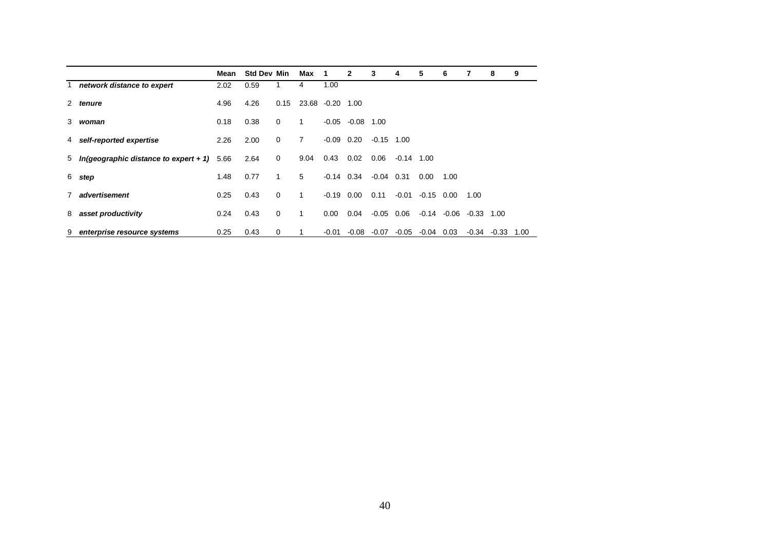|                                              | Mean | <b>Std Dev Min</b> |      | Max            | 1                | $\mathbf{2}$       | 3            | 4            | 5            | 6                            |      | 8                      | 9 |
|----------------------------------------------|------|--------------------|------|----------------|------------------|--------------------|--------------|--------------|--------------|------------------------------|------|------------------------|---|
| 1 network distance to expert                 | 2.02 | 0.59               |      | 4              | 1.00             |                    |              |              |              |                              |      |                        |   |
| 2 tenure                                     | 4.96 | 4.26               | 0.15 |                | 23.68 -0.20 1.00 |                    |              |              |              |                              |      |                        |   |
| 3 woman                                      | 0.18 | 0.38               | 0    | 1.             |                  | $-0.05 -0.08$ 1.00 |              |              |              |                              |      |                        |   |
| 4 self-reported expertise                    | 2.26 | 2.00               | 0    | $\overline{7}$ | $-0.09$ 0.20     |                    | $-0.15$ 1.00 |              |              |                              |      |                        |   |
| 5 In(geographic distance to expert + 1) 5.66 |      | 2.64               | 0    | 9.04           | 0.43             | 0.02               | 0.06         | $-0.14$ 1.00 |              |                              |      |                        |   |
| 6 step                                       | 1.48 | 0.77               | 1    | 5              | $-0.14$ 0.34     |                    | $-0.04$ 0.31 |              | 0.00         | 1.00                         |      |                        |   |
| 7 advertisement                              | 0.25 | 0.43               | 0    | 1              | $-0.19$ 0.00     |                    | 0.11         | $-0.01$      | $-0.15$ 0.00 |                              | 1.00 |                        |   |
| 8 asset productivity                         | 0.24 | 0.43               | 0    | 1              | 0.00             | 0.04               | $-0.05$ 0.06 |              |              | $-0.14$ $-0.06$ $-0.33$ 1.00 |      |                        |   |
| 9 enterprise resource systems                | 0.25 | 0.43               | 0    |                | $-0.01$          | $-0.08$            | $-0.07$      | $-0.05$      | -0.04        | 0.03                         |      | $-0.34$ $-0.33$ $1.00$ |   |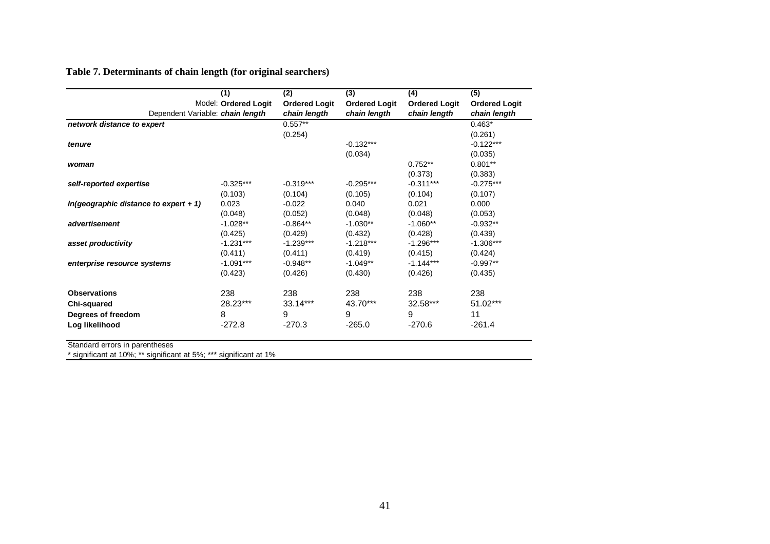## **Table 7. Determinants of chain length (for original searchers)**

|                                         | (1)                  | (2)                  | (3)                  | (4)                  | (5)                  |
|-----------------------------------------|----------------------|----------------------|----------------------|----------------------|----------------------|
|                                         | Model: Ordered Logit | <b>Ordered Logit</b> | <b>Ordered Logit</b> | <b>Ordered Logit</b> | <b>Ordered Logit</b> |
| Dependent Variable: chain length        |                      | chain length         | chain length         | chain length         | chain length         |
| network distance to expert              |                      | $0.557**$            |                      |                      | $0.463*$             |
|                                         |                      | (0.254)              |                      |                      | (0.261)              |
| tenure                                  |                      |                      | $-0.132***$          |                      | $-0.122***$          |
|                                         |                      |                      | (0.034)              |                      | (0.035)              |
| woman                                   |                      |                      |                      | $0.752**$            | $0.801**$            |
|                                         |                      |                      |                      | (0.373)              | (0.383)              |
| self-reported expertise                 | $-0.325***$          | $-0.319***$          | $-0.295***$          | $-0.311***$          | $-0.275***$          |
|                                         | (0.103)              | (0.104)              | (0.105)              | (0.104)              | (0.107)              |
| $In(geographic distance to expert + 1)$ | 0.023                | $-0.022$             | 0.040                | 0.021                | 0.000                |
|                                         | (0.048)              | (0.052)              | (0.048)              | (0.048)              | (0.053)              |
| advertisement                           | $-1.028**$           | $-0.864**$           | $-1.030**$           | $-1.060**$           | $-0.932**$           |
|                                         | (0.425)              | (0.429)              | (0.432)              | (0.428)              | (0.439)              |
| asset productivity                      | $-1.231***$          | $-1.239***$          | $-1.218***$          | $-1.296***$          | $-1.306***$          |
|                                         | (0.411)              | (0.411)              | (0.419)              | (0.415)              | (0.424)              |
| enterprise resource systems             | $-1.091***$          | $-0.948**$           | $-1.049**$           | $-1.144***$          | $-0.997**$           |
|                                         | (0.423)              | (0.426)              | (0.430)              | (0.426)              | (0.435)              |
| <b>Observations</b>                     | 238                  | 238                  | 238                  | 238                  | 238                  |
| Chi-squared                             | 28.23***             | 33.14***             | 43.70***             | 32.58***             | 51.02***             |
| Degrees of freedom                      | 8                    | 9                    | 9                    | 9                    | 11                   |
| Log likelihood                          | $-272.8$             | $-270.3$             | $-265.0$             | $-270.6$             | $-261.4$             |
|                                         |                      |                      |                      |                      |                      |

Standard errors in parentheses \* significant at 10%; \*\* significant at 5%; \*\*\* significant at 1%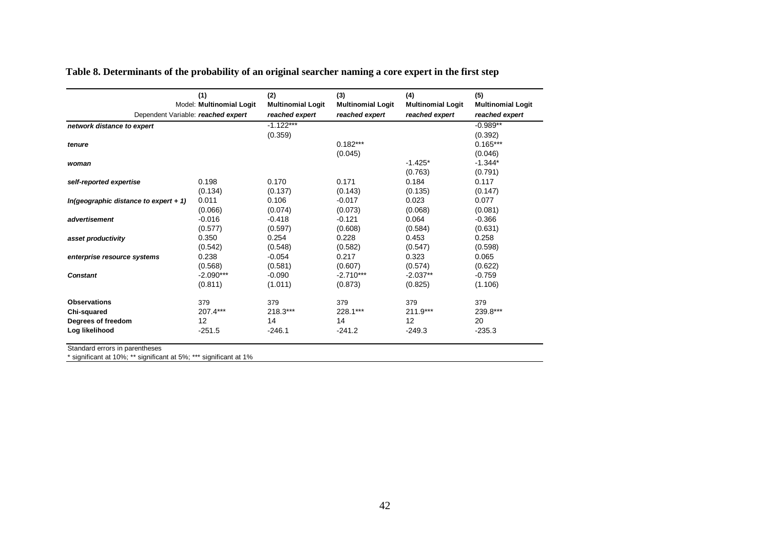| Table 8. Determinants of the probability of an original searcher naming a core expert in the first step |  |  |
|---------------------------------------------------------------------------------------------------------|--|--|
|                                                                                                         |  |  |

|                                         | (1)<br>Model: Multinomial Logit | (2)<br><b>Multinomial Logit</b> | (3)<br><b>Multinomial Logit</b> | (4)<br><b>Multinomial Logit</b> | (5)<br><b>Multinomial Logit</b> |
|-----------------------------------------|---------------------------------|---------------------------------|---------------------------------|---------------------------------|---------------------------------|
| Dependent Variable: reached expert      |                                 | reached expert                  | reached expert                  | reached expert                  | reached expert                  |
| network distance to expert              |                                 | $-1.122***$                     |                                 |                                 | $-0.989**$                      |
|                                         |                                 | (0.359)                         |                                 |                                 | (0.392)                         |
| tenure                                  |                                 |                                 | $0.182***$                      |                                 | $0.165***$                      |
|                                         |                                 |                                 | (0.045)                         |                                 | (0.046)                         |
| woman                                   |                                 |                                 |                                 | $-1.425*$                       | $-1.344*$                       |
|                                         |                                 |                                 |                                 | (0.763)                         | (0.791)                         |
| self-reported expertise                 | 0.198                           | 0.170                           | 0.171                           | 0.184                           | 0.117                           |
|                                         | (0.134)                         | (0.137)                         | (0.143)                         | (0.135)                         | (0.147)                         |
| $In(qeographic distance to expert + 1)$ | 0.011                           | 0.106                           | $-0.017$                        | 0.023                           | 0.077                           |
|                                         | (0.066)                         | (0.074)                         | (0.073)                         | (0.068)                         | (0.081)                         |
| advertisement                           | $-0.016$                        | $-0.418$                        | $-0.121$                        | 0.064                           | $-0.366$                        |
|                                         | (0.577)                         | (0.597)                         | (0.608)                         | (0.584)                         | (0.631)                         |
| asset productivity                      | 0.350                           | 0.254                           | 0.228                           | 0.453                           | 0.258                           |
|                                         | (0.542)                         | (0.548)                         | (0.582)                         | (0.547)                         | (0.598)                         |
| enterprise resource systems             | 0.238                           | $-0.054$                        | 0.217                           | 0.323                           | 0.065                           |
|                                         | (0.568)                         | (0.581)                         | (0.607)                         | (0.574)                         | (0.622)                         |
| <b>Constant</b>                         | $-2.090***$                     | $-0.090$                        | $-2.710***$                     | $-2.037**$                      | $-0.759$                        |
|                                         | (0.811)                         | (1.011)                         | (0.873)                         | (0.825)                         | (1.106)                         |
| <b>Observations</b>                     | 379                             | 379                             | 379                             | 379                             | 379                             |
| Chi-squared                             | 207.4***                        | 218.3***                        | 228.1***                        | $211.9***$                      | 239.8***                        |
| Degrees of freedom                      | 12                              | 14                              | 14                              | 12                              | 20                              |
| Log likelihood                          | $-251.5$                        | $-246.1$                        | $-241.2$                        | $-249.3$                        | $-235.3$                        |
|                                         |                                 |                                 |                                 |                                 |                                 |

Standard errors in parentheses \* significant at 10%; \*\* significant at 5%; \*\*\* significant at 1%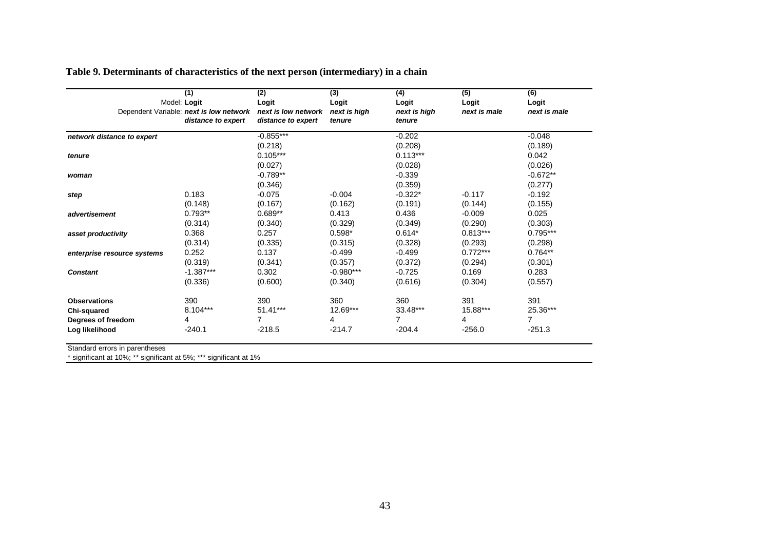| Table 9. Determinants of characteristics of the next person (intermediary) in a chain |  |
|---------------------------------------------------------------------------------------|--|
|---------------------------------------------------------------------------------------|--|

|                             |              | (1)                                     | (2)                 | $\overline{3}$ | (4)          | $\overline{(5)}$ | (6)            |
|-----------------------------|--------------|-----------------------------------------|---------------------|----------------|--------------|------------------|----------------|
|                             | Model: Logit |                                         | Logit               | Logit          | Logit        | Logit            | Logit          |
|                             |              | Dependent Variable: next is low network | next is low network | next is high   | next is high | next is male     | next is male   |
|                             |              | distance to expert                      | distance to expert  | tenure         | tenure       |                  |                |
| network distance to expert  |              |                                         | $-0.855***$         |                | $-0.202$     |                  | $-0.048$       |
|                             |              |                                         | (0.218)             |                | (0.208)      |                  | (0.189)        |
| tenure                      |              |                                         | $0.105***$          |                | $0.113***$   |                  | 0.042          |
|                             |              |                                         | (0.027)             |                | (0.028)      |                  | (0.026)        |
| woman                       |              |                                         | $-0.789**$          |                | $-0.339$     |                  | $-0.672**$     |
|                             |              |                                         | (0.346)             |                | (0.359)      |                  | (0.277)        |
| step                        |              | 0.183                                   | $-0.075$            | $-0.004$       | $-0.322*$    | $-0.117$         | $-0.192$       |
|                             |              | (0.148)                                 | (0.167)             | (0.162)        | (0.191)      | (0.144)          | (0.155)        |
| advertisement               |              | $0.793**$                               | $0.689**$           | 0.413          | 0.436        | $-0.009$         | 0.025          |
|                             |              | (0.314)                                 | (0.340)             | (0.329)        | (0.349)      | (0.290)          | (0.303)        |
| asset productivity          |              | 0.368                                   | 0.257               | $0.598*$       | $0.614*$     | $0.813***$       | $0.795***$     |
|                             |              | (0.314)                                 | (0.335)             | (0.315)        | (0.328)      | (0.293)          | (0.298)        |
| enterprise resource systems |              | 0.252                                   | 0.137               | $-0.499$       | $-0.499$     | $0.772***$       | $0.764**$      |
|                             |              | (0.319)                                 | (0.341)             | (0.357)        | (0.372)      | (0.294)          | (0.301)        |
| <b>Constant</b>             |              | $-1.387***$                             | 0.302               | $-0.980***$    | $-0.725$     | 0.169            | 0.283          |
|                             |              | (0.336)                                 | (0.600)             | (0.340)        | (0.616)      | (0.304)          | (0.557)        |
| <b>Observations</b>         |              | 390                                     | 390                 | 360            | 360          | 391              | 391            |
| Chi-squared                 |              | $8.104***$                              | 51.41***            | $12.69***$     | 33.48***     | 15.88***         | 25.36***       |
| Degrees of freedom          |              | 4                                       | 7                   | 4              | 7            | 4                | $\overline{7}$ |
| Log likelihood              |              | $-240.1$                                | $-218.5$            | $-214.7$       | $-204.4$     | $-256.0$         | $-251.3$       |

Standard errors in parentheses

\* significant at 10%; \*\* significant at 5%; \*\*\* significant at 1%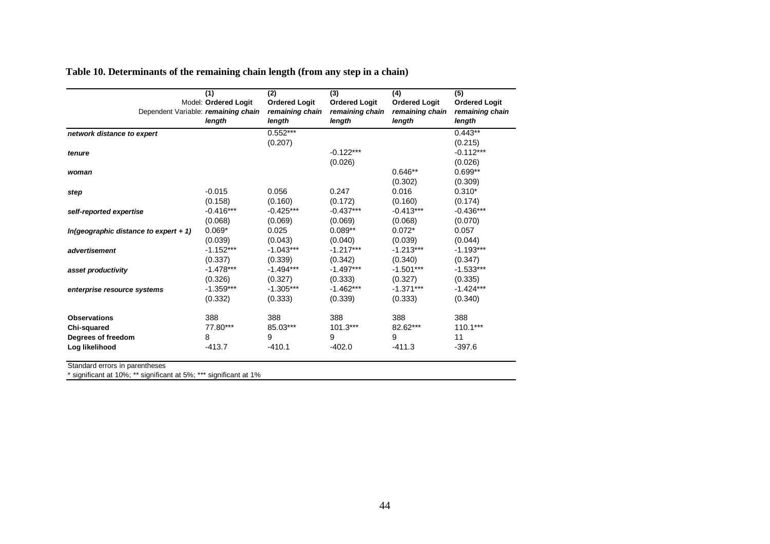| Table 10. Determinants of the remaining chain length (from any step in a chain) |  |  |  |
|---------------------------------------------------------------------------------|--|--|--|
|                                                                                 |  |  |  |

| Dependent Variable: remaining chain     | (1)<br>Model: Ordered Logit<br>length | (2)<br><b>Ordered Logit</b><br>remaining chain<br>length | (3)<br><b>Ordered Logit</b><br>remaining chain<br>length | (4)<br><b>Ordered Logit</b><br>remaining chain<br>length | (5)<br><b>Ordered Logit</b><br>remaining chain<br>length |
|-----------------------------------------|---------------------------------------|----------------------------------------------------------|----------------------------------------------------------|----------------------------------------------------------|----------------------------------------------------------|
| network distance to expert              |                                       | $0.552***$                                               |                                                          |                                                          | $0.443**$                                                |
|                                         |                                       | (0.207)                                                  |                                                          |                                                          | (0.215)                                                  |
| tenure                                  |                                       |                                                          | $-0.122***$                                              |                                                          | $-0.112***$                                              |
|                                         |                                       |                                                          | (0.026)                                                  |                                                          | (0.026)                                                  |
| woman                                   |                                       |                                                          |                                                          | $0.646**$                                                | $0.699**$                                                |
|                                         |                                       |                                                          |                                                          | (0.302)                                                  | (0.309)                                                  |
| step                                    | $-0.015$                              | 0.056                                                    | 0.247                                                    | 0.016                                                    | $0.310*$                                                 |
|                                         | (0.158)                               | (0.160)                                                  | (0.172)                                                  | (0.160)                                                  | (0.174)                                                  |
| self-reported expertise                 | $-0.416***$                           | $-0.425***$                                              | -0.437***                                                | $-0.413***$                                              | $-0.436***$                                              |
|                                         | (0.068)                               | (0.069)                                                  | (0.069)                                                  | (0.068)                                                  | (0.070)                                                  |
| $In(geographic distance to expert + 1)$ | $0.069*$                              | 0.025                                                    | $0.089**$                                                | $0.072*$                                                 | 0.057                                                    |
|                                         | (0.039)                               | (0.043)                                                  | (0.040)                                                  | (0.039)                                                  | (0.044)                                                  |
| advertisement                           | $-1.152***$                           | $-1.043***$                                              | $-1.217***$                                              | $-1.213***$                                              | $-1.193***$                                              |
|                                         | (0.337)                               | (0.339)                                                  | (0.342)                                                  | (0.340)                                                  | (0.347)                                                  |
| asset productivity                      | $-1.478***$                           | $-1.494***$                                              | $-1.497***$                                              | $-1.501***$                                              | $-1.533***$                                              |
|                                         | (0.326)                               | (0.327)                                                  | (0.333)                                                  | (0.327)                                                  | (0.335)                                                  |
| enterprise resource systems             | $-1.359***$                           | $-1.305***$                                              | $-1.462***$                                              | $-1.371***$                                              | $-1.424***$                                              |
|                                         | (0.332)                               | (0.333)                                                  | (0.339)                                                  | (0.333)                                                  | (0.340)                                                  |
| <b>Observations</b>                     | 388                                   | 388                                                      | 388                                                      | 388                                                      | 388                                                      |
| Chi-squared                             | 77.80***                              | 85.03***                                                 | $101.3***$                                               | 82.62***                                                 | $110.1***$                                               |
| Degrees of freedom                      | 8                                     | 9                                                        | 9                                                        | 9                                                        | 11                                                       |
| Log likelihood                          | $-413.7$                              | $-410.1$                                                 | $-402.0$                                                 | $-411.3$                                                 | $-397.6$                                                 |
| Standard errors in parentheses          |                                       |                                                          |                                                          |                                                          |                                                          |

\* significant at 10%; \*\* significant at 5%; \*\*\* significant at 1%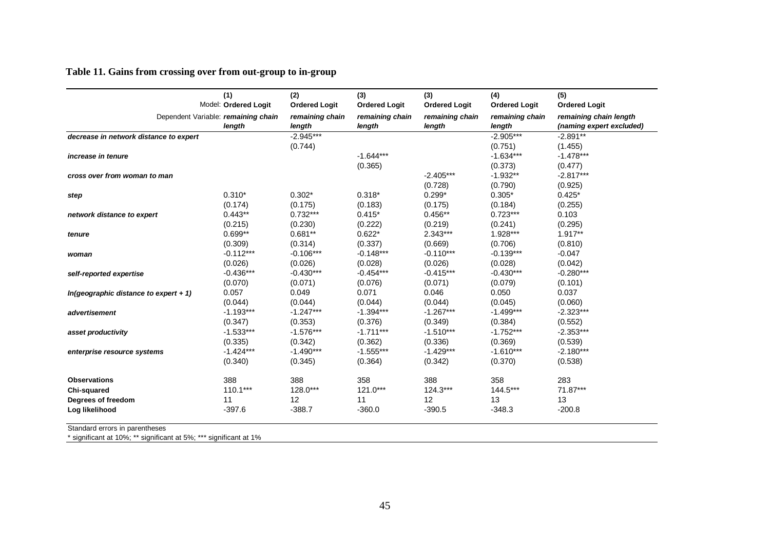## **Table 11. Gains from crossing over from out-group to in-group**

|                                         | (1)<br>Model: Ordered Logit                   | (2)<br><b>Ordered Logit</b> | (3)<br><b>Ordered Logit</b> | (3)<br><b>Ordered Logit</b> | (4)<br><b>Ordered Logit</b> | (5)<br><b>Ordered Logit</b>                        |
|-----------------------------------------|-----------------------------------------------|-----------------------------|-----------------------------|-----------------------------|-----------------------------|----------------------------------------------------|
|                                         | Dependent Variable: remaining chain<br>length | remaining chain<br>length   | remaining chain<br>length   | remaining chain<br>length   | remaining chain<br>length   | remaining chain length<br>(naming expert excluded) |
| decrease in network distance to expert  |                                               | $-2.945***$                 |                             |                             | $-2.905***$                 | $-2.891**$                                         |
|                                         |                                               | (0.744)                     |                             |                             | (0.751)                     | (1.455)                                            |
| increase in tenure                      |                                               |                             | $-1.644***$                 |                             | $-1.634***$                 | $-1.478***$                                        |
|                                         |                                               |                             | (0.365)                     |                             | (0.373)                     | (0.477)                                            |
| cross over from woman to man            |                                               |                             |                             | $-2.405***$                 | $-1.932**$                  | $-2.817***$                                        |
|                                         |                                               |                             |                             | (0.728)                     | (0.790)                     | (0.925)                                            |
| step                                    | $0.310*$                                      | $0.302*$                    | $0.318*$                    | $0.299*$                    | $0.305*$                    | $0.425*$                                           |
|                                         | (0.174)                                       | (0.175)                     | (0.183)                     | (0.175)                     | (0.184)                     | (0.255)                                            |
| network distance to expert              | $0.443**$                                     | $0.732***$                  | $0.415*$                    | $0.456**$                   | $0.723***$                  | 0.103                                              |
|                                         | (0.215)                                       | (0.230)                     | (0.222)                     | (0.219)                     | (0.241)                     | (0.295)                                            |
| tenure                                  | $0.699**$                                     | $0.681**$                   | $0.622*$                    | $2.343***$                  | 1.928***                    | 1.917**                                            |
|                                         | (0.309)                                       | (0.314)                     | (0.337)                     | (0.669)                     | (0.706)                     | (0.810)                                            |
| woman                                   | $-0.112***$                                   | $-0.106***$                 | $-0.148***$                 | $-0.110***$                 | $-0.139***$                 | $-0.047$                                           |
|                                         | (0.026)                                       | (0.026)                     | (0.028)                     | (0.026)                     | (0.028)                     | (0.042)                                            |
| self-reported expertise                 | $-0.436***$                                   | $-0.430***$                 | $-0.454***$                 | $-0.415***$                 | $-0.430***$                 | $-0.280***$                                        |
|                                         | (0.070)                                       | (0.071)                     | (0.076)                     | (0.071)                     | (0.079)                     | (0.101)                                            |
| $In(geographic distance to expert + 1)$ | 0.057                                         | 0.049                       | 0.071                       | 0.046                       | 0.050                       | 0.037                                              |
|                                         | (0.044)                                       | (0.044)                     | (0.044)                     | (0.044)                     | (0.045)                     | (0.060)                                            |
| advertisement                           | $-1.193***$                                   | $-1.247***$                 | $-1.394***$                 | $-1.267***$                 | $-1.499***$                 | $-2.323***$                                        |
|                                         | (0.347)                                       | (0.353)                     | (0.376)                     | (0.349)                     | (0.384)                     | (0.552)                                            |
| asset productivity                      | $-1.533***$                                   | $-1.576***$                 | $-1.711***$                 | $-1.510***$                 | $-1.752***$                 | $-2.353***$                                        |
|                                         | (0.335)                                       | (0.342)                     | (0.362)                     | (0.336)                     | (0.369)                     | (0.539)                                            |
| enterprise resource systems             | $-1.424***$                                   | $-1.490***$                 | $-1.555***$                 | $-1.429***$                 | $-1.610***$                 | $-2.180***$                                        |
|                                         | (0.340)                                       | (0.345)                     | (0.364)                     | (0.342)                     | (0.370)                     | (0.538)                                            |
| <b>Observations</b>                     | 388                                           | 388                         | 358                         | 388                         | 358                         | 283                                                |
| Chi-squared                             | $110.1***$                                    | 128.0***                    | 121.0***                    | 124.3***                    | 144.5***                    | 71.87***                                           |
| Degrees of freedom                      | 11                                            | 12                          | 11                          | 12                          | 13                          | 13                                                 |
| Log likelihood                          | $-397.6$                                      | $-388.7$                    | $-360.0$                    | $-390.5$                    | $-348.3$                    | $-200.8$                                           |
| Standard orrors in naronthonog          |                                               |                             |                             |                             |                             |                                                    |

Standard errors in parentheses

\* significant at 10%; \*\* significant at 5%; \*\*\* significant at 1%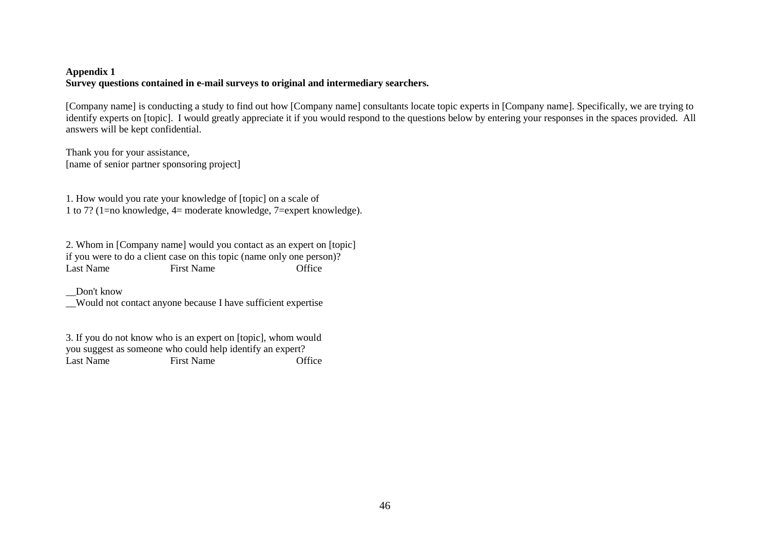## **Appendix 1 Survey questions contained in e-mail surveys to original and intermediary searchers.**

[Company name] is conducting a study to find out how [Company name] consultants locate topic experts in [Company name]. Specifically, we are trying to identify experts on [topic]. I would greatly appreciate it if you would respond to the questions below by entering your responses in the spaces provided. All answers will be kept confidential.

Thank you for your assistance, [name of senior partner sponsoring project]

1. How would you rate your knowledge of [topic] on a scale of 1 to 7? (1=no knowledge, 4= moderate knowledge, 7=expert knowledge).

2. Whom in [Company name] would you contact as an expert on [topic] if you were to do a client case on this topic (name only one person)? Last Name First Name Office

\_\_Don't know

\_\_Would not contact anyone because I have sufficient expertise

3. If you do not know who is an expert on [topic], whom would you suggest as someone who could help identify an expert? Office Last Name First Name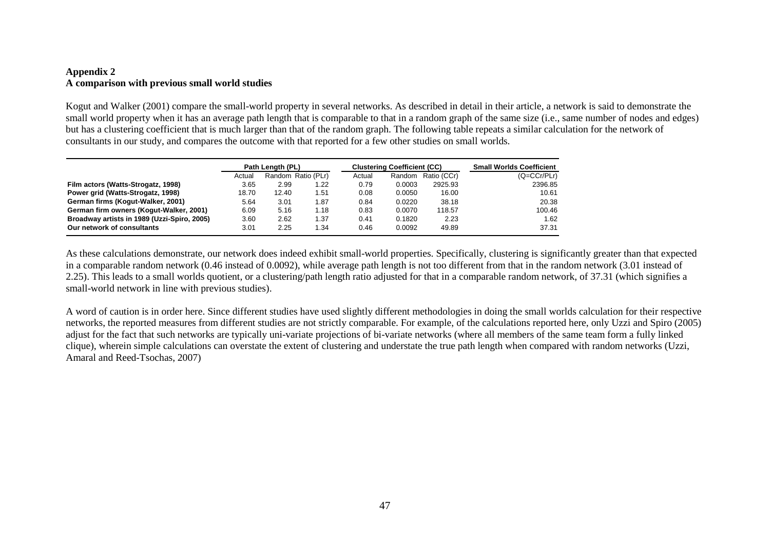### **Appendix 2 A comparison with previous small world studies**

Kogut and Walker (2001) compare the small-world property in several networks. As described in detail in their article, a network is said to demonstrate the small world property when it has an average path length that is comparable to that in a random graph of the same size (i.e., same number of nodes and edges) but has a clustering coefficient that is much larger than that of the random graph. The following table repeats a similar calculation for the network of consultants in our study, and compares the outcome with that reported for a few other studies on small worlds.

|                                             | Path Length (PL) |       |                    |        | <b>Clustering Coefficient (CC)</b> | <b>Small Worlds Coefficient</b> |               |
|---------------------------------------------|------------------|-------|--------------------|--------|------------------------------------|---------------------------------|---------------|
|                                             | Actual           |       | Random Ratio (PLr) | Actual | Random                             | Ratio (CCr)                     | $(Q=CCr/PLr)$ |
| Film actors (Watts-Strogatz, 1998)          | 3.65             | 2.99  | 1.22               | 0.79   | 0.0003                             | 2925.93                         | 2396.85       |
| Power grid (Watts-Strogatz, 1998)           | 18.70            | 12.40 | 1.51               | 0.08   | 0.0050                             | 16.00                           | 10.61         |
| German firms (Kogut-Walker, 2001)           | 5.64             | 3.01  | 1.87               | 0.84   | 0.0220                             | 38.18                           | 20.38         |
| German firm owners (Kogut-Walker, 2001)     | 6.09             | 5.16  | 1.18               | 0.83   | 0.0070                             | 118.57                          | 100.46        |
| Broadway artists in 1989 (Uzzi-Spiro, 2005) | 3.60             | 2.62  | 1.37               | 0.41   | 0.1820                             | 2.23                            | 1.62          |
| Our network of consultants                  | 3.01             | 2.25  | 34. ا              | 0.46   | 0.0092                             | 49.89                           | 37.31         |

As these calculations demonstrate, our network does indeed exhibit small-world properties. Specifically, clustering is significantly greater than that expected in a comparable random network (0.46 instead of 0.0092), while average path length is not too different from that in the random network (3.01 instead of 2.25). This leads to a small worlds quotient, or a clustering/path length ratio adjusted for that in a comparable random network, of 37.31 (which signifies a small-world network in line with previous studies).

A word of caution is in order here. Since different studies have used slightly different methodologies in doing the small worlds calculation for their respective networks, the reported measures from different studies are not strictly comparable. For example, of the calculations reported here, only Uzzi and Spiro (2005) adjust for the fact that such networks are typically uni-variate projections of bi-variate networks (where all members of the same team form a fully linked clique), wherein simple calculations can overstate the extent of clustering and understate the true path length when compared with random networks (Uzzi,Amaral and Reed-Tsochas, 2007)